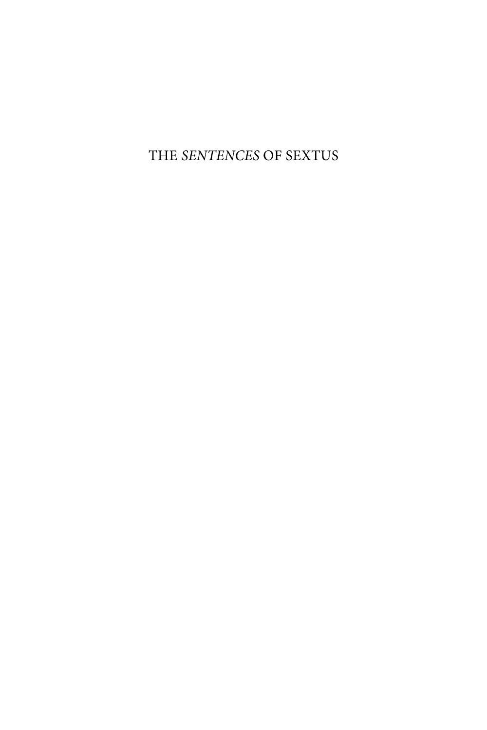THE SENTENCES OF SEXTUS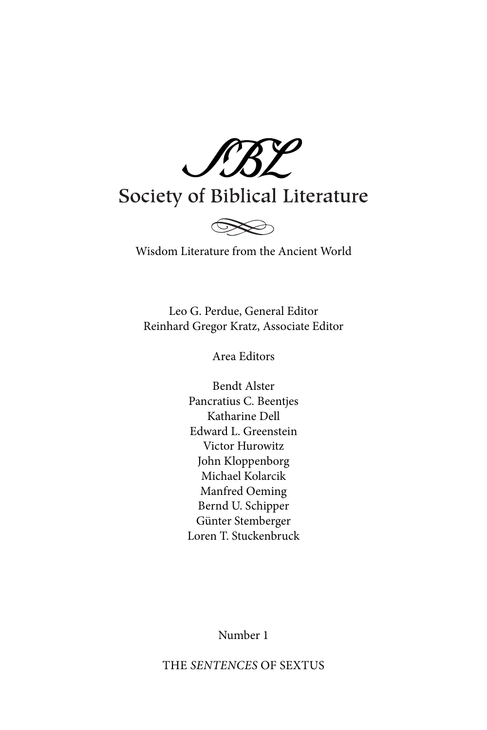SBL

# Society of Biblical Literature



## Wisdom Literature from the Ancient World

Leo G. Perdue, General Editor Reinhard Gregor Kratz, Associate Editor

Area Editors

Bendt Alster Pancratius C. Beentjes Katharine Dell Edward L. Greenstein Victor Hurowitz John Kloppenborg Michael Kolarcik Manfred Oeming Bernd U. Schipper Günter Stemberger Loren T. Stuckenbruck

Number 1

THE SENTENCES OF SEXTUS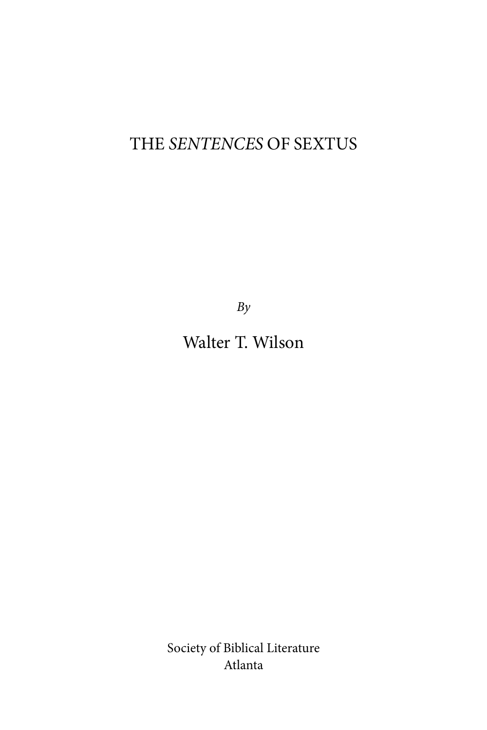## THE SENTENCES OF SEXTUS

 $By$ 

Walter T. Wilson

Society of Biblical Literature Atlanta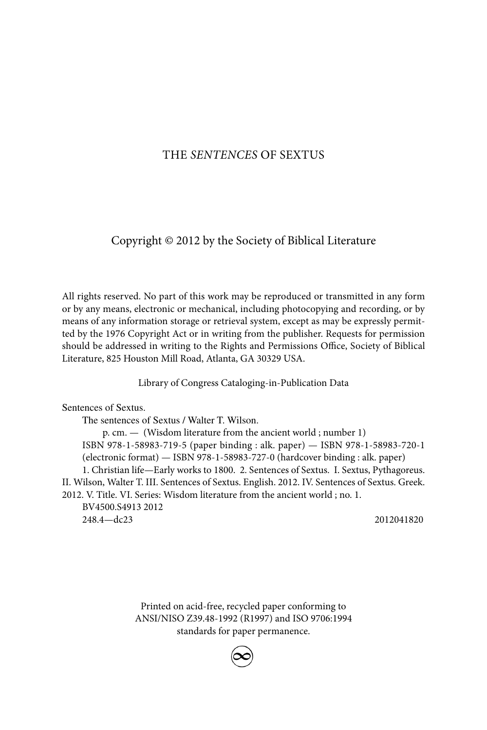#### THE SENTENCES OF SEXTUS

#### Copyright © 2012 by the Society of Biblical Literature

All rights reserved. No part of this work may be reproduced or transmitted in any form or by any means, electronic or mechanical, including photocopying and recording, or by means of any information storage or retrieval system, except as may be expressly permitted by the 1976 Copyright Act or in writing from the publisher. Requests for permission should be addressed in writing to the Rights and Permissions Office, Society of Biblical Literature, 825 Houston Mill Road, Atlanta, GA 30329 USA.

Library of Congress Cataloging-in-Publication Data

Sentences of Sextus.

The sentences of Sextus / Walter T. Wilson. p. cm. — (Wisdom literature from the ancient world ; number 1) ISBN 978-1-58983-719-5 (paper binding : alk. paper) — ISBN 978-1-58983-720-1 (electronic format) — ISBN 978-1-58983-727-0 (hardcover binding : alk. paper) 1. Christian life—Early works to 1800. 2. Sentences of Sextus. I. Sextus, Pythagoreus. II. Wilson, Walter T. III. Sentences of Sextus. English. 2012. IV. Sentences of Sextus. Greek. 2012. V. Title. VI. Series: Wisdom literature from the ancient world ; no. 1. BV4500.S4913 2012 248.4—dc23 2012041820

> Printed on acid-free, recycled paper conforming to ANSI/NISO Z39.48-1992 (R1997) and ISO 9706:1994 standards for paper permanence.

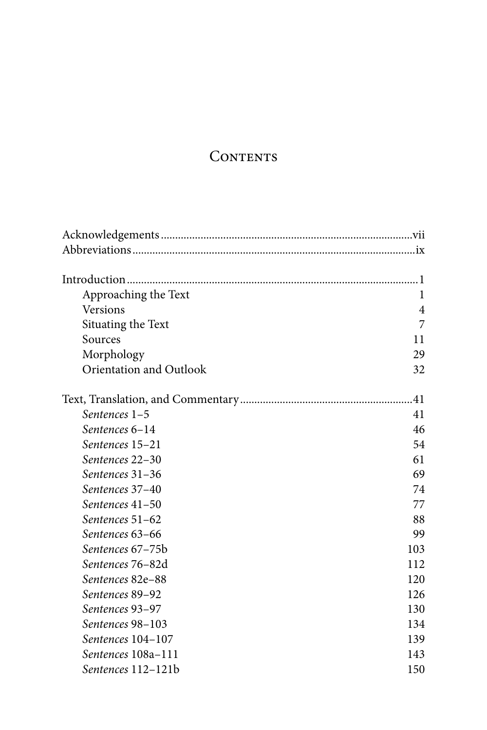## **CONTENTS**

| Approaching the Text    | 1   |
|-------------------------|-----|
| Versions                | 4   |
| Situating the Text      | 7   |
| Sources                 | 11  |
| Morphology              | 29  |
| Orientation and Outlook | 32  |
|                         |     |
| Sentences 1-5           | 41  |
| Sentences 6-14          | 46  |
| Sentences 15-21         | 54  |
| Sentences 22–30         | 61  |
| Sentences 31-36         | 69  |
| Sentences 37-40         | 74  |
| Sentences 41-50         | 77  |
| Sentences 51-62         | 88  |
| Sentences 63–66         | 99  |
| Sentences 67–75b        | 103 |
| Sentences 76–82d        | 112 |
| Sentences 82e-88        | 120 |
| Sentences 89-92         | 126 |
| Sentences 93-97         | 130 |
| Sentences 98-103        | 134 |
| Sentences 104-107       | 139 |
| Sentences 108a-111      | 143 |
| Sentences 112-121b      | 150 |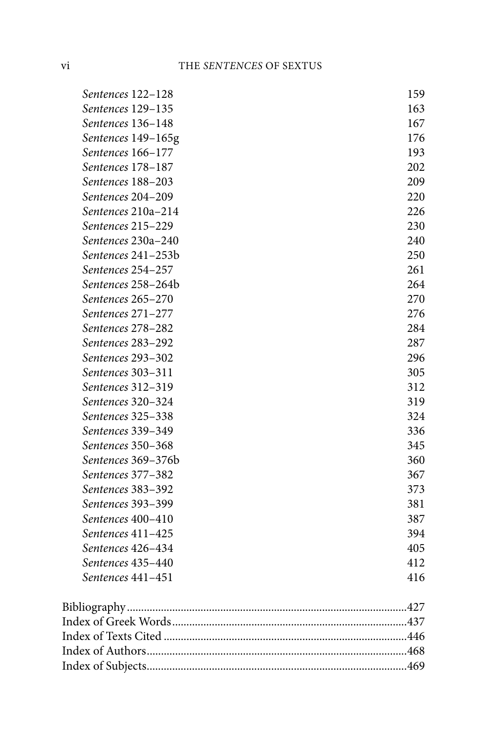| Sentences 122-128  | 159 |
|--------------------|-----|
| Sentences 129-135  | 163 |
| Sentences 136-148  | 167 |
| Sentences 149-165g | 176 |
| Sentences 166-177  | 193 |
| Sentences 178-187  | 202 |
| Sentences 188-203  | 209 |
| Sentences 204-209  | 220 |
| Sentences 210a-214 | 226 |
| Sentences 215-229  | 230 |
| Sentences 230a-240 | 240 |
| Sentences 241-253b | 250 |
| Sentences 254-257  | 261 |
| Sentences 258-264b | 264 |
| Sentences 265-270  | 270 |
| Sentences 271-277  | 276 |
| Sentences 278-282  | 284 |
| Sentences 283-292  | 287 |
| Sentences 293-302  | 296 |
| Sentences 303-311  | 305 |
| Sentences 312-319  | 312 |
| Sentences 320-324  | 319 |
| Sentences 325-338  | 324 |
| Sentences 339-349  | 336 |
| Sentences 350-368  | 345 |
| Sentences 369-376b | 360 |
| Sentences 377-382  | 367 |
| Sentences 383-392  | 373 |
| Sentences 393-399  | 381 |
| Sentences 400-410  | 387 |
| Sentences 411-425  | 394 |
| Sentences 426-434  | 405 |
| Sentences 435–440  | 412 |
| Sentences 441-451  | 416 |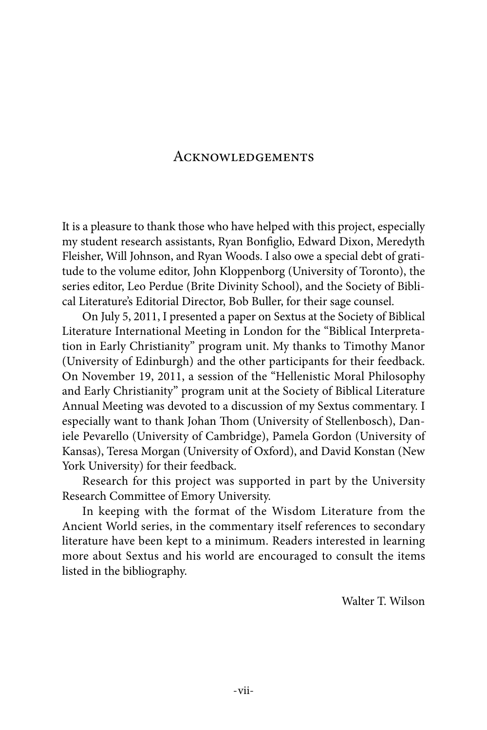### **ACKNOWLEDGEMENTS**

It is a pleasure to thank those who have helped with this project, especially my student research assistants, Ryan Bonfiglio, Edward Dixon, Meredyth Fleisher, Will Johnson, and Ryan Woods. I also owe a special debt of gratitude to the volume editor, John Kloppenborg (University of Toronto), the series editor, Leo Perdue (Brite Divinity School), and the Society of Biblical Literature's Editorial Director, Bob Buller, for their sage counsel.

On July 5, 2011, I presented a paper on Sextus at the Society of Biblical Literature International Meeting in London for the "Biblical Interpretation in Early Christianity" program unit. My thanks to Timothy Manor (University of Edinburgh) and the other participants for their feedback. On November 19, 2011, a session of the "Hellenistic Moral Philosophy and Early Christianity" program unit at the Society of Biblical Literature Annual Meeting was devoted to a discussion of my Sextus commentary. I especially want to thank Johan Thom (University of Stellenbosch), Daniele Pevarello (University of Cambridge), Pamela Gordon (University of Kansas), Teresa Morgan (University of Oxford), and David Konstan (New York University) for their feedback.

Research for this project was supported in part by the University Research Committee of Emory University.

In keeping with the format of the Wisdom Literature from the Ancient World series, in the commentary itself references to secondary literature have been kept to a minimum. Readers interested in learning more about Sextus and his world are encouraged to consult the items listed in the bibliography.

Walter T. Wilson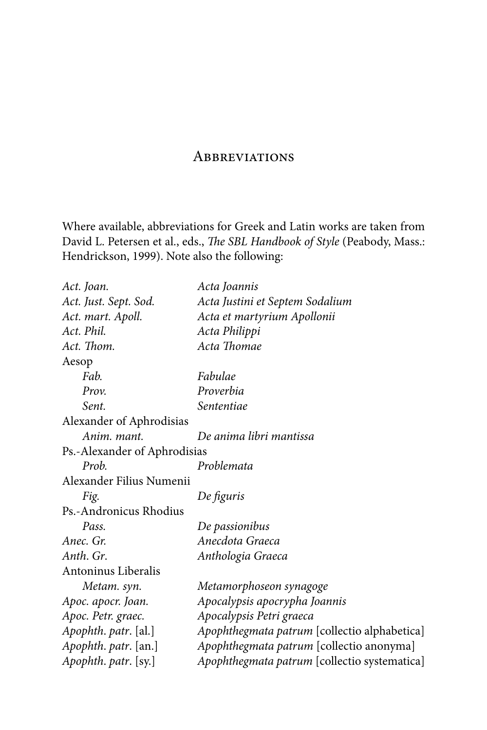## **ABBREVIATIONS**

Where available, abbreviations for Greek and Latin works are taken from David L. Petersen et al., eds., The SBL Handbook of Style (Peabody, Mass.: Hendrickson, 1999). Note also the following:

| Act. Joan.                   | Acta Joannis                                 |
|------------------------------|----------------------------------------------|
| Act. Just. Sept. Sod.        | Acta Justini et Septem Sodalium              |
| Act. mart. Apoll.            | Acta et martyrium Apollonii                  |
| Act. Phil.                   | Acta Philippi                                |
| Act. Thom.                   | Acta Thomae                                  |
| Aesop                        |                                              |
| Fab.                         | Fabulae                                      |
| Prov.                        | Proverbia                                    |
| Sent.                        | Sententiae                                   |
| Alexander of Aphrodisias     |                                              |
| Anim. mant.                  | De anima libri mantissa                      |
| Ps.-Alexander of Aphrodisias |                                              |
| Prob.                        | Problemata                                   |
| Alexander Filius Numenii     |                                              |
| Fig.                         | De figuris                                   |
| Ps.-Andronicus Rhodius       |                                              |
| Pass.                        | De passionibus                               |
| Anec. Gr.                    | Anecdota Graeca                              |
| Anth. Gr.                    | Anthologia Graeca                            |
| Antoninus Liberalis          |                                              |
| Metam. syn.                  | Metamorphoseon synagoge                      |
| Apoc. apocr. Joan.           | Apocalypsis apocrypha Joannis                |
| Apoc. Petr. graec.           | Apocalypsis Petri graeca                     |
| Apophth. patr. [al.]         | Apophthegmata patrum [collectio alphabetica] |
| Apophth. patr. [an.]         | Apophthegmata patrum [collectio anonyma]     |
| Apophth. patr. [sy.]         | Apophthegmata patrum [collectio systematica] |
|                              |                                              |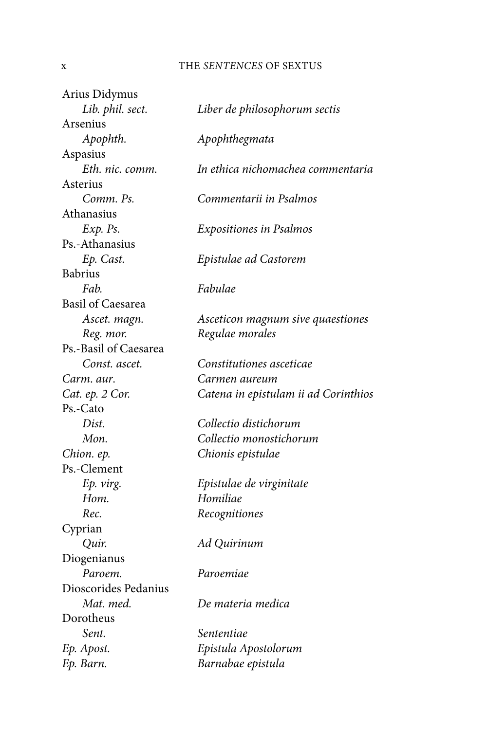#### x THE SENTENCES OF SEXTUS

Arius Didymus Lib. phil. sect. Liber de philosophorum sectis Arsenius Apophth. Apophthegmata Aspasius Eth. nic. comm. In ethica nichomachea commentaria Asterius Comm. Ps. Commentarii in Psalmos Athanasius Exp. Ps. Expositiones in Psalmos Ps.-Athanasius Ep. Cast. Epistulae ad Castorem Babrius Fab. Fabulae Basil of Caesarea Ascet. magn. Asceticon magnum sive quaestiones Reg. mor. Regulae morales Ps.-Basil of Caesarea Const. ascet. Constitutiones asceticae Carm. aur. Carmen aureum Cat. ep. 2 Cor. Catena in epistulam ii ad Corinthios Ps.-Cato Dist. Collectio distichorum Mon. Collectio monostichorum Chion. ep. Chionis epistulae Ps.-Clement Ep. virg. Epistulae de virginitate Hom. Homiliae Rec. Recognitiones Cyprian Quir. Ad Quirinum Diogenianus Paroem. Paroemiae Dioscorides Pedanius Mat. med. De materia medica Dorotheus Sent. Sententiae. Ep. Apost. Epistula Apostolorum Ep. Barn. Barnabae epistula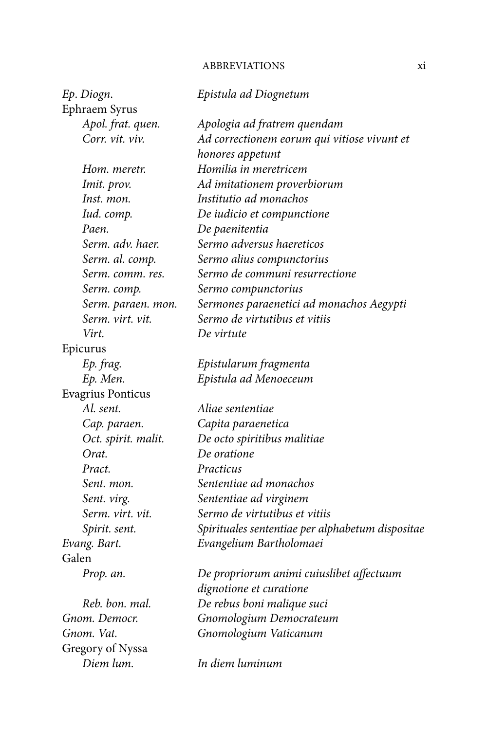## ABBREVIATIONS xi

| Ep. Diogn.               | Epistula ad Diognetum                            |
|--------------------------|--------------------------------------------------|
| Ephraem Syrus            |                                                  |
| Apol. frat. quen.        | Apologia ad fratrem quendam                      |
| Corr. vit. viv.          | Ad correctionem eorum qui vitiose vivunt et      |
|                          | honores appetunt                                 |
| Hom. meretr.             | Homilia in meretricem                            |
| Imit. prov.              | Ad imitationem proverbiorum                      |
| Inst. mon.               | Institutio ad monachos                           |
| Iud. comp.               | De iudicio et compunctione                       |
| Paen.                    | De paenitentia                                   |
| Serm. adv. haer.         | Sermo adversus haereticos                        |
| Serm. al. comp.          | Sermo alius compunctorius                        |
| Serm. comm. res.         | Sermo de communi resurrectione                   |
| Serm. comp.              | Sermo compunctorius                              |
| Serm. paraen. mon.       | Sermones paraenetici ad monachos Aegypti         |
| Serm. virt. vit.         | Sermo de virtutibus et vitiis                    |
| Virt.                    | De virtute                                       |
| Epicurus                 |                                                  |
| Ep. frag.                | Epistularum fragmenta                            |
| Ep. Men.                 | Epistula ad Menoeceum                            |
| <b>Evagrius Ponticus</b> |                                                  |
| Al. sent.                | Aliae sententiae                                 |
| Cap. paraen.             | Capita paraenetica                               |
| Oct. spirit. malit.      | De octo spiritibus malitiae                      |
| Orat.                    | De oratione                                      |
| Pract.                   | Practicus                                        |
| Sent. mon.               | Sententiae ad monachos                           |
| Sent. virg.              | Sententiae ad virginem                           |
| Serm. virt. vit.         | Sermo de virtutibus et vitiis                    |
| Spirit. sent.            | Spirituales sententiae per alphabetum dispositae |
| Evang. Bart.             | Evangelium Bartholomaei                          |
| Galen                    |                                                  |
| Prop. an.                | De propriorum animi cuiuslibet affectuum         |
|                          | dignotione et curatione                          |
| Reb. bon. mal.           | De rebus boni malique suci                       |
| Gnom. Democr.            | Gnomologium Democrateum                          |
| Gnom. Vat.               | Gnomologium Vaticanum                            |
| Gregory of Nyssa         |                                                  |
| Diem lum.                | In diem luminum                                  |
|                          |                                                  |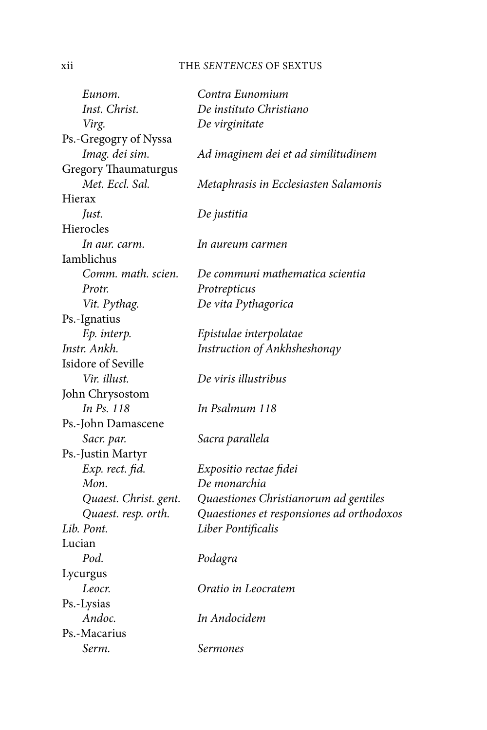## xii THE SENTENCES OF SEXTUS

| Eunom.                      | Contra Eunomium                           |
|-----------------------------|-------------------------------------------|
| Inst. Christ.               | De instituto Christiano                   |
| Virg.                       | De virginitate                            |
| Ps.-Gregogry of Nyssa       |                                           |
| Imag. dei sim.              | Ad imaginem dei et ad similitudinem       |
| <b>Gregory Thaumaturgus</b> |                                           |
| Met. Eccl. Sal.             | Metaphrasis in Ecclesiasten Salamonis     |
| Hierax                      |                                           |
| Just.                       | De justitia                               |
| Hierocles                   |                                           |
| In aur. carm.               | In aureum carmen                          |
| Iamblichus                  |                                           |
| Comm. math. scien.          | De communi mathematica scientia           |
| Protr.                      | Protrepticus                              |
| Vit. Pythag.                | De vita Pythagorica                       |
| Ps.-Ignatius                |                                           |
| Ep. interp.                 | Epistulae interpolatae                    |
| Instr. Ankh.                | Instruction of Ankhsheshongy              |
| Isidore of Seville          |                                           |
| Vir. illust.                | De viris illustribus                      |
| John Chrysostom             |                                           |
| In Ps. 118                  | In Psalmum 118                            |
| Ps.-John Damascene          |                                           |
| Sacr. par.                  | Sacra parallela                           |
| Ps.-Justin Martyr           |                                           |
| Exp. rect. fid.             | Expositio rectae fidei                    |
| Mon.                        | De monarchia                              |
| Quaest. Christ. gent.       | Quaestiones Christianorum ad gentiles     |
| Quaest. resp. orth.         | Quaestiones et responsiones ad orthodoxos |
| Lib. Pont.                  | Liber Pontificalis                        |
| Lucian                      |                                           |
| Pod.                        | Podagra                                   |
| Lycurgus                    |                                           |
| Leocr.                      | Oratio in Leocratem                       |
| Ps.-Lysias                  |                                           |
| Andoc.                      | In Andocidem                              |
| Ps.-Macarius                |                                           |
| Serm.                       | Sermones                                  |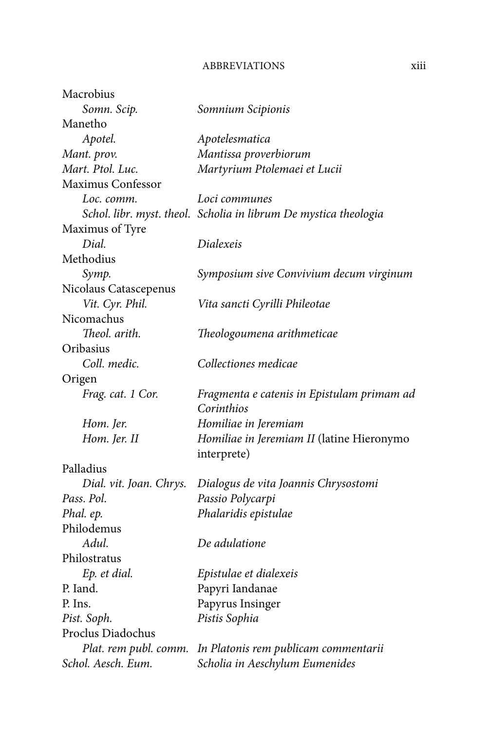## ABBREVIATIONS xiii

| Macrobius               |                                                                  |
|-------------------------|------------------------------------------------------------------|
| Somn. Scip.             | Somnium Scipionis                                                |
| Manetho                 |                                                                  |
| Apotel.                 | Apotelesmatica                                                   |
| Mant. prov.             | Mantissa proverbiorum                                            |
| Mart. Ptol. Luc.        | Martyrium Ptolemaei et Lucii                                     |
| Maximus Confessor       |                                                                  |
| Loc. comm.              | Loci communes                                                    |
|                         | Schol. libr. myst. theol. Scholia in librum De mystica theologia |
| Maximus of Tyre         |                                                                  |
| Dial.                   | Dialexeis                                                        |
| Methodius               |                                                                  |
| Symp.                   | Symposium sive Convivium decum virginum                          |
| Nicolaus Catascepenus   |                                                                  |
| Vit. Cyr. Phil.         | Vita sancti Cyrilli Phileotae                                    |
| Nicomachus              |                                                                  |
| Theol. arith.           | Theologoumena arithmeticae                                       |
| Oribasius               |                                                                  |
| Coll. medic.            | Collectiones medicae                                             |
| Origen                  |                                                                  |
| Frag. cat. 1 Cor.       | Fragmenta e catenis in Epistulam primam ad                       |
|                         | Corinthios                                                       |
| Hom. Jer.               | Homiliae in Jeremiam                                             |
| Hom. Jer. II            | Homiliae in Jeremiam II (latine Hieronymo                        |
|                         | interprete)                                                      |
| Palladius               |                                                                  |
| Dial. vit. Joan. Chrys. | Dialogus de vita Joannis Chrysostomi                             |
| Pass. Pol.              | Passio Polycarpi                                                 |
| Phal. ep.               | Phalaridis epistulae                                             |
| Philodemus              |                                                                  |
| Adul.                   | De adulatione                                                    |
| Philostratus            |                                                                  |
| Ep. et dial.            | Epistulae et dialexeis                                           |
| P. Iand.                | Papyri Iandanae                                                  |
| P. Ins.                 | Papyrus Insinger                                                 |
| Pist. Soph.             | Pistis Sophia                                                    |
| Proclus Diadochus       |                                                                  |
| Plat. rem publ. comm.   | In Platonis rem publicam commentarii                             |
| Schol. Aesch. Eum.      | Scholia in Aeschylum Eumenides                                   |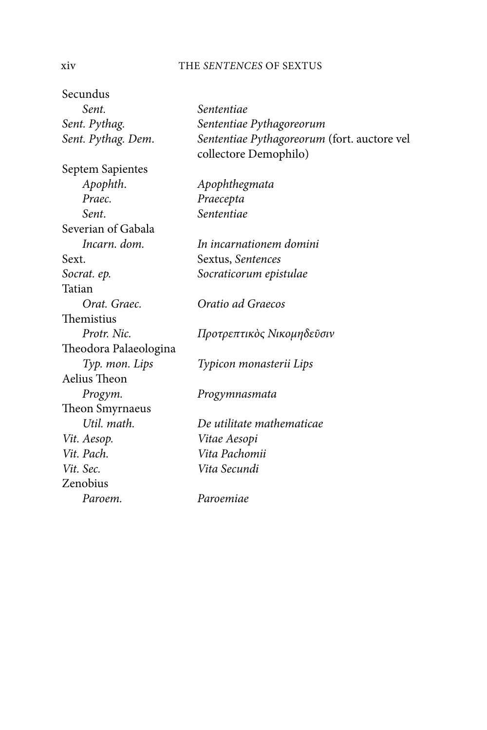#### xiv THE SENTENCES OF SEXTUS

Secundus Sent. Sententiae Sent. Pythag. Sententiae Pythagoreorum Sent. Pythag. Dem. Sententiae Pythagoreorum (fort. auctore vel collectore Demophilo) Septem Sapientes Apophth. Apophthegmata Praec. Praecepta Sent. Sententiae Severian of Gabala Incarn. dom. In incarnationem domini Sext. Sextus, Sentences Socrat. ep. Socraticorum epistulae Tatian Orat. Graec. Oratio ad Graecos Themistius Protr. Nic. Γροτρεπτικὸς Νικομηδεῦσιν Theodora Palaeologina Typ. mon. Lips Typicon monasterii Lips Aelius Theon Progym. Progymnasmata Theon Smyrnaeus Util. math. De utilitate mathematicae Vit. Aesop. Vitae Aesopi Vit. Pach. Vita Pachomii Vit. Sec. Vita Secundi Zenobius Paroem. Paroemiae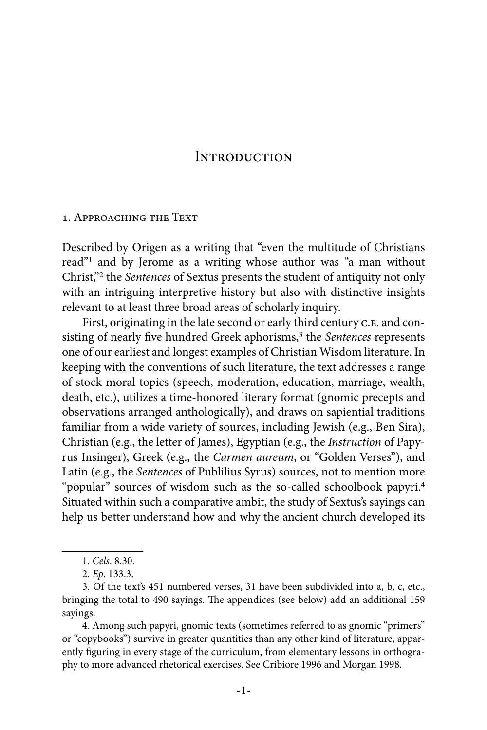### **INTRODUCTION**

#### 1. Approaching the Text

Described by Origen as a writing that "even the multitude of Christians read"1 and by Jerome as a writing whose author was "a man without Christ,"2 the Sentences of Sextus presents the student of antiquity not only with an intriguing interpretive history but also with distinctive insights relevant to at least three broad areas of scholarly inquiry.

First, originating in the late second or early third century C.E. and consisting of nearly five hundred Greek aphorisms,<sup>3</sup> the Sentences represents one of our earliest and longest examples of Christian Wisdom literature. In keeping with the conventions of such literature, the text addresses a range of stock moral topics (speech, moderation, education, marriage, wealth, death, etc.), utilizes a time-honored literary format (gnomic precepts and observations arranged anthologically), and draws on sapiential traditions familiar from a wide variety of sources, including Jewish (e.g., Ben Sira), Christian (e.g., the letter of James), Egyptian (e.g., the Instruction of Papyrus Insinger), Greek (e.g., the Carmen aureum, or "Golden Verses"), and Latin (e.g., the Sentences of Publilius Syrus) sources, not to mention more "popular" sources of wisdom such as the so-called schoolbook papyri.4 Situated within such a comparative ambit, the study of Sextus's sayings can help us better understand how and why the ancient church developed its

4. Among such papyri, gnomic texts (sometimes referred to as gnomic "primers" or "copybooks") survive in greater quantities than any other kind of literature, apparently figuring in every stage of the curriculum, from elementary lessons in orthography to more advanced rhetorical exercises. See Cribiore 1996 and Morgan 1998.

<sup>1.</sup> Cels. 8.30.

<sup>2.</sup> Ep. 133.3.

<sup>3.</sup> Of the text's 451 numbered verses, 31 have been subdivided into a, b, c, etc., bringing the total to 490 sayings. The appendices (see below) add an additional 159 sayings.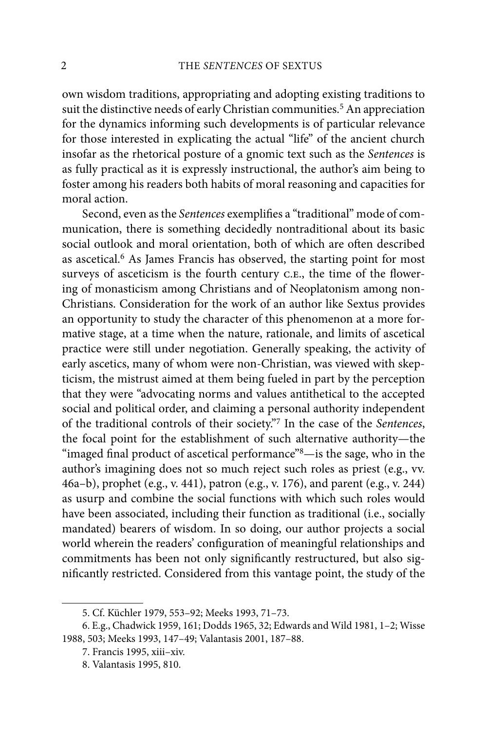own wisdom traditions, appropriating and adopting existing traditions to suit the distinctive needs of early Christian communities.<sup>5</sup> An appreciation for the dynamics informing such developments is of particular relevance for those interested in explicating the actual "life" of the ancient church insofar as the rhetorical posture of a gnomic text such as the Sentences is as fully practical as it is expressly instructional, the author's aim being to foster among his readers both habits of moral reasoning and capacities for moral action.

Second, even as the Sentences exemplifies a "traditional" mode of communication, there is something decidedly nontraditional about its basic social outlook and moral orientation, both of which are often described as ascetical.6 As James Francis has observed, the starting point for most surveys of asceticism is the fourth century C.E., the time of the flowering of monasticism among Christians and of Neoplatonism among non-Christians. Consideration for the work of an author like Sextus provides an opportunity to study the character of this phenomenon at a more formative stage, at a time when the nature, rationale, and limits of ascetical practice were still under negotiation. Generally speaking, the activity of early ascetics, many of whom were non-Christian, was viewed with skepticism, the mistrust aimed at them being fueled in part by the perception that they were "advocating norms and values antithetical to the accepted social and political order, and claiming a personal authority independent of the traditional controls of their society."7 In the case of the Sentences, the focal point for the establishment of such alternative authority—the "imaged final product of ascetical performance"<sup>8</sup>—is the sage, who in the author's imagining does not so much reject such roles as priest (e.g., vv. 46a–b), prophet (e.g., v. 441), patron (e.g., v. 176), and parent (e.g., v. 244) as usurp and combine the social functions with which such roles would have been associated, including their function as traditional (i.e., socially mandated) bearers of wisdom. In so doing, our author projects a social world wherein the readers' configuration of meaningful relationships and commitments has been not only significantly restructured, but also significantly restricted. Considered from this vantage point, the study of the

<sup>5.</sup> Cf. Küchler 1979, 553–92; Meeks 1993, 71–73.

<sup>6.</sup> E.g., Chadwick 1959, 161; Dodds 1965, 32; Edwards and Wild 1981, 1–2; Wisse 1988, 503; Meeks 1993, 147–49; Valantasis 2001, 187–88.

<sup>7.</sup> Francis 1995, xiii–xiv.

<sup>8.</sup> Valantasis 1995, 810.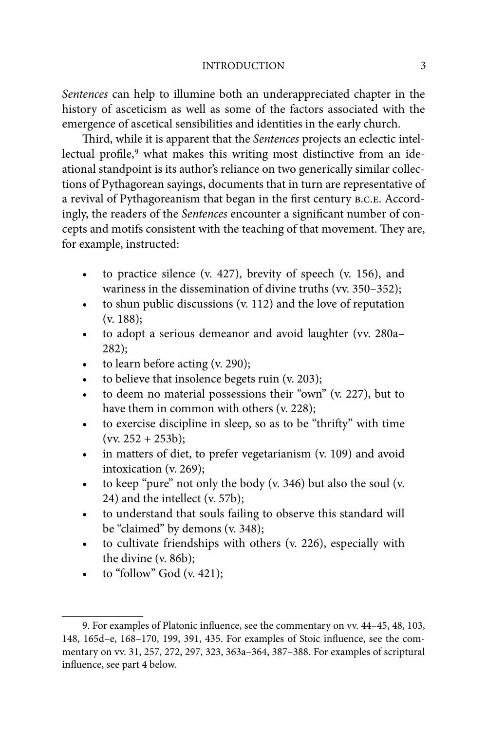#### INTRODUCTION 3

Sentences can help to illumine both an underappreciated chapter in the history of asceticism as well as some of the factors associated with the emergence of ascetical sensibilities and identities in the early church.

Third, while it is apparent that the Sentences projects an eclectic intellectual profile,<sup>9</sup> what makes this writing most distinctive from an ideational standpoint is its author's reliance on two generically similar collections of Pythagorean sayings, documents that in turn are representative of a revival of Pythagoreanism that began in the first century B.C.E. Accordingly, the readers of the Sentences encounter a significant number of concepts and motifs consistent with the teaching of that movement. They are, for example, instructed:

- to practice silence (v. 427), brevity of speech (v. 156), and wariness in the dissemination of divine truths (vv. 350–352);
- to shun public discussions (v. 112) and the love of reputation (v. 188);
- to adopt a serious demeanor and avoid laughter (vv. 280a– 282);
- to learn before acting (v. 290);
- to believe that insolence begets ruin (v. 203);
- to deem no material possessions their "own" (v. 227), but to have them in common with others (v. 228);
- to exercise discipline in sleep, so as to be "thrifty" with time  $(vv. 252 + 253b);$
- in matters of diet, to prefer vegetarianism (v. 109) and avoid intoxication (v. 269);
- to keep "pure" not only the body (v. 346) but also the soul (v. 24) and the intellect (v. 57b);
- to understand that souls failing to observe this standard will be "claimed" by demons (v. 348);
- to cultivate friendships with others (v. 226), especially with the divine (v. 86b);
- to "follow" God (v. 421);

<sup>9.</sup> For examples of Platonic influence, see the commentary on vv. 44–45, 48, 103, 148, 165d–e, 168–170, 199, 391, 435. For examples of Stoic influence, see the commentary on vv. 31, 257, 272, 297, 323, 363a–364, 387–388. For examples of scriptural influence, see part 4 below.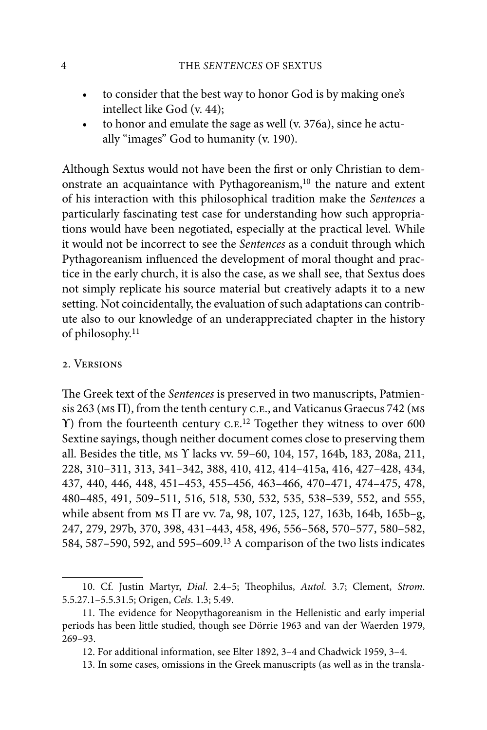- to consider that the best way to honor God is by making one's intellect like God (v. 44);
- to honor and emulate the sage as well (v. 376a), since he actually "images" God to humanity (v. 190).

Although Sextus would not have been the first or only Christian to demonstrate an acquaintance with Pythagoreanism, $10$  the nature and extent of his interaction with this philosophical tradition make the Sentences a particularly fascinating test case for understanding how such appropriations would have been negotiated, especially at the practical level. While it would not be incorrect to see the Sentences as a conduit through which Pythagoreanism influenced the development of moral thought and practice in the early church, it is also the case, as we shall see, that Sextus does not simply replicate his source material but creatively adapts it to a new setting. Not coincidentally, the evaluation of such adaptations can contribute also to our knowledge of an underappreciated chapter in the history of philosophy.<sup>11</sup>

#### 2. Versions

The Greek text of the Sentences is preserved in two manuscripts, Patmiensis 263 (MS  $\Pi$ ), from the tenth century C.E., and Vaticanus Graecus 742 (MS ) from the fourteenth century c.e. 12 Together they witness to over 600 Sextine sayings, though neither document comes close to preserving them all. Besides the title, ms  $\Upsilon$  lacks vv. 59–60, 104, 157, 164b, 183, 208a, 211, 228, 310–311, 313, 341–342, 388, 410, 412, 414–415a, 416, 427–428, 434, 437, 440, 446, 448, 451–453, 455–456, 463–466, 470–471, 474–475, 478, 480–485, 491, 509–511, 516, 518, 530, 532, 535, 538–539, 552, and 555, while absent from MS  $\Pi$  are vv. 7a, 98, 107, 125, 127, 163b, 164b, 165b–g, 247, 279, 297b, 370, 398, 431–443, 458, 496, 556–568, 570–577, 580–582, 584, 587–590, 592, and 595–609.13 A comparison of the two lists indicates

<sup>10.</sup> Cf. Justin Martyr, Dial. 2.4-5; Theophilus, Autol. 3.7; Clement, Strom. 5.5.27.1–5.5.31.5; Origen, Cels. 1.3; 5.49.

<sup>11.</sup> The evidence for Neopythagoreanism in the Hellenistic and early imperial periods has been little studied, though see Dörrie 1963 and van der Waerden 1979, 269–93.

<sup>12.</sup> For additional information, see Elter 1892, 3–4 and Chadwick 1959, 3–4.

<sup>13.</sup> In some cases, omissions in the Greek manuscripts (as well as in the transla-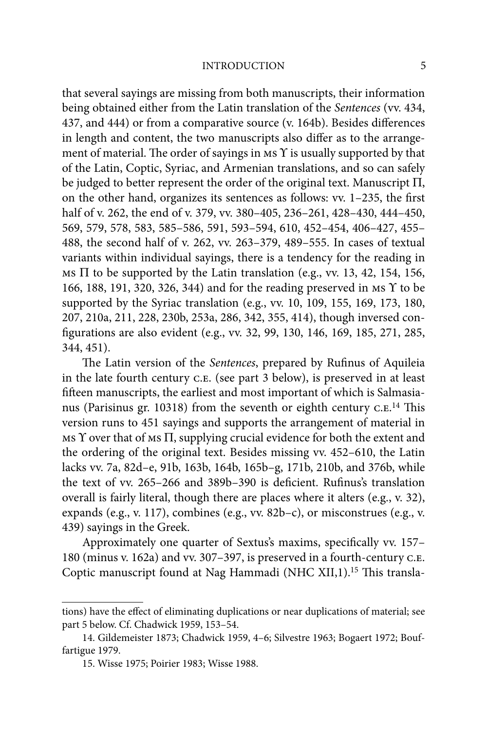that several sayings are missing from both manuscripts, their information being obtained either from the Latin translation of the Sentences (vv. 434, 437, and 444) or from a comparative source (v. 164b). Besides differences in length and content, the two manuscripts also differ as to the arrangement of material. The order of sayings in  $\overline{MS}$  is usually supported by that of the Latin, Coptic, Syriac, and Armenian translations, and so can safely be judged to better represent the order of the original text. Manuscript  $\Pi$ , on the other hand, organizes its sentences as follows: vv.  $1-235$ , the first half of v. 262, the end of v. 379, vv. 380–405, 236–261, 428–430, 444–450, 569, 579, 578, 583, 585–586, 591, 593–594, 610, 452–454, 406–427, 455– 488, the second half of v. 262, vv. 263–379, 489–555. In cases of textual variants within individual sayings, there is a tendency for the reading in Ms  $\Pi$  to be supported by the Latin translation (e.g., vv. 13, 42, 154, 156, 166, 188, 191, 320, 326, 344) and for the reading preserved in MS Y to be supported by the Syriac translation (e.g., vv. 10, 109, 155, 169, 173, 180, 207, 210a, 211, 228, 230b, 253a, 286, 342, 355, 414), though inversed configurations are also evident (e.g., vv. 32, 99, 130, 146, 169, 185, 271, 285, 344, 451).

The Latin version of the Sentences, prepared by Rufinus of Aquileia in the late fourth century c.e. (see part 3 below), is preserved in at least fifteen manuscripts, the earliest and most important of which is Salmasianus (Parisinus gr. 10318) from the seventh or eighth century C.E.<sup>14</sup> This version runs to 451 sayings and supports the arrangement of material in  $\overline{m}$  ms  $\Upsilon$  over that of  $\overline{m}$  supplying crucial evidence for both the extent and the ordering of the original text. Besides missing vv. 452–610, the Latin lacks vv. 7a, 82d–e, 91b, 163b, 164b, 165b–g, 171b, 210b, and 376b, while the text of vv. 265-266 and 389b-390 is deficient. Rufinus's translation overall is fairly literal, though there are places where it alters (e.g., v. 32), expands (e.g., v. 117), combines (e.g., vv. 82b–c), or misconstrues (e.g., v. 439) sayings in the Greek.

Approximately one quarter of Sextus's maxims, specifically vv. 157– 180 (minus v. 162a) and vv. 307–397, is preserved in a fourth-century c.e. Coptic manuscript found at Nag Hammadi (NHC XII,1).<sup>15</sup> This transla-

tions) have the effect of eliminating duplications or near duplications of material; see part 5 below. Cf. Chadwick 1959, 153–54.

<sup>14.</sup> Gildemeister 1873; Chadwick 1959, 4–6; Silvestre 1963; Bogaert 1972; Bouffartigue 1979.

<sup>15.</sup> Wisse 1975; Poirier 1983; Wisse 1988.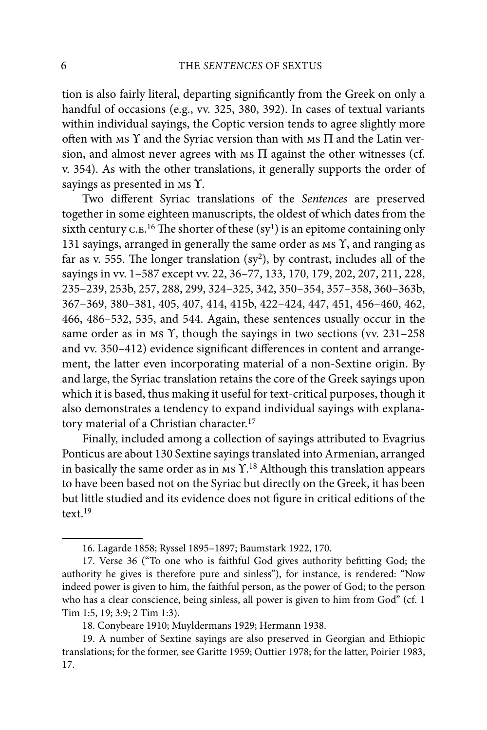tion is also fairly literal, departing significantly from the Greek on only a handful of occasions (e.g., vv. 325, 380, 392). In cases of textual variants within individual sayings, the Coptic version tends to agree slightly more often with ms  $\Upsilon$  and the Syriac version than with ms  $\Pi$  and the Latin version, and almost never agrees with  $\overline{M}$  against the other witnesses (cf. v. 354). As with the other translations, it generally supports the order of sayings as presented in  $MS \Upsilon$ .

Two different Syriac translations of the Sentences are preserved together in some eighteen manuscripts, the oldest of which dates from the sixth century c. E.<sup>16</sup> The shorter of these  $(sy<sup>1</sup>)$  is an epitome containing only 131 sayings, arranged in generally the same order as  $ms \Upsilon$ , and ranging as far as v. 555. The longer translation  $(sy^2)$ , by contrast, includes all of the sayings in vv. 1–587 except vv. 22, 36–77, 133, 170, 179, 202, 207, 211, 228, 235–239, 253b, 257, 288, 299, 324–325, 342, 350–354, 357–358, 360–363b, 367–369, 380–381, 405, 407, 414, 415b, 422–424, 447, 451, 456–460, 462, 466, 486–532, 535, and 544. Again, these sentences usually occur in the same order as in Ms  $\Upsilon$ , though the sayings in two sections (vv. 231–258) and vv. 350–412) evidence significant differences in content and arrangement, the latter even incorporating material of a non-Sextine origin. By and large, the Syriac translation retains the core of the Greek sayings upon which it is based, thus making it useful for text-critical purposes, though it also demonstrates a tendency to expand individual sayings with explanatory material of a Christian character.<sup>17</sup>

Finally, included among a collection of sayings attributed to Evagrius Ponticus are about 130 Sextine sayings translated into Armenian, arranged in basically the same order as in Ms  $\Upsilon$ .<sup>18</sup> Although this translation appears to have been based not on the Syriac but directly on the Greek, it has been but little studied and its evidence does not figure in critical editions of the text.19

<sup>16.</sup> Lagarde 1858; Ryssel 1895–1897; Baumstark 1922, 170.

<sup>17.</sup> Verse 36 ("To one who is faithful God gives authority befitting God; the authority he gives is therefore pure and sinless"), for instance, is rendered: "Now indeed power is given to him, the faithful person, as the power of God; to the person who has a clear conscience, being sinless, all power is given to him from God" (cf. 1 Tim 1:5, 19; 3:9; 2 Tim 1:3).

<sup>18.</sup> Conybeare 1910; Muyldermans 1929; Hermann 1938.

<sup>19.</sup> A number of Sextine sayings are also preserved in Georgian and Ethiopic translations; for the former, see Garitte 1959; Outtier 1978; for the latter, Poirier 1983, 17.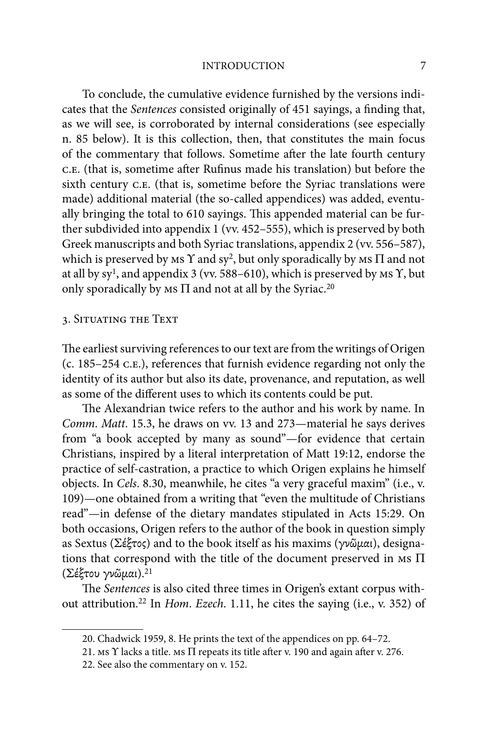#### INTRODUCTION 7

To conclude, the cumulative evidence furnished by the versions indicates that the Sentences consisted originally of 451 sayings, a finding that, as we will see, is corroborated by internal considerations (see especially n. 85 below). It is this collection, then, that constitutes the main focus of the commentary that follows. Sometime after the late fourth century c.e. (that is, sometime after Rufinus made his translation) but before the sixth century C.E. (that is, sometime before the Syriac translations were made) additional material (the so-called appendices) was added, eventually bringing the total to 610 sayings. This appended material can be further subdivided into appendix 1 (vv. 452–555), which is preserved by both Greek manuscripts and both Syriac translations, appendix 2 (vv. 556–587), which is preserved by  $MS \Upsilon$  and sy<sup>2</sup>, but only sporadically by  $MS \Pi$  and not at all by sy<sup>1</sup>, and appendix 3 (vv. 588–610), which is preserved by  $\text{ms } \Upsilon$ , but only sporadically by  $\overline{M}$  and not at all by the Syriac.<sup>20</sup>

#### 3. Situating the Text

The earliest surviving references to our text are from the writings of Origen (c. 185–254 c.e.), references that furnish evidence regarding not only the identity of its author but also its date, provenance, and reputation, as well as some of the different uses to which its contents could be put.

The Alexandrian twice refers to the author and his work by name. In Comm. Matt. 15.3, he draws on vv. 13 and 273—material he says derives from "a book accepted by many as sound"—for evidence that certain Christians, inspired by a literal interpretation of Matt 19:12, endorse the practice of self-castration, a practice to which Origen explains he himself objects. In Cels. 8.30, meanwhile, he cites "a very graceful maxim" (i.e., v. 109)—one obtained from a writing that "even the multitude of Christians read"—in defense of the dietary mandates stipulated in Acts 15:29. On both occasions, Origen refers to the author of the book in question simply as Sextus ( $\Sigma$ έξτος) and to the book itself as his maxims (γνῶμαι), designations that correspond with the title of the document preserved in  $MS \Pi$ (Σέξτου γνῶμαι).<sup>21</sup>

The Sentences is also cited three times in Origen's extant corpus without attribution.22 In Hom. Ezech. 1.11, he cites the saying (i.e., v. 352) of

<sup>20.</sup> Chadwick 1959, 8. He prints the text of the appendices on pp. 64–72.

<sup>21.</sup> Ms  $\Upsilon$  lacks a title. Ms  $\Pi$  repeats its title after v. 190 and again after v. 276.

<sup>22.</sup> See also the commentary on v. 152.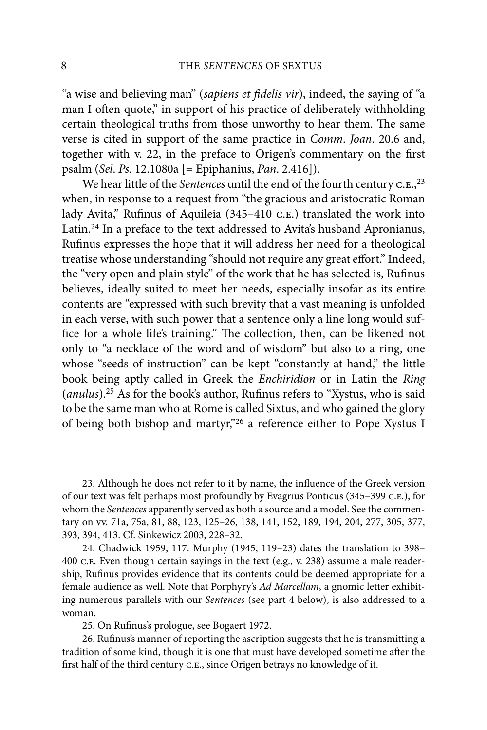"a wise and believing man" (sapiens et fidelis vir), indeed, the saying of "a man I often quote," in support of his practice of deliberately withholding certain theological truths from those unworthy to hear them. The same verse is cited in support of the same practice in Comm. Joan. 20.6 and, together with v. 22, in the preface to Origen's commentary on the first psalm (Sel. Ps. 12.1080a [= Epiphanius, Pan. 2.416]).

We hear little of the Sentences until the end of the fourth century c.e.,<sup>23</sup> when, in response to a request from "the gracious and aristocratic Roman lady Avita," Rufinus of Aquileia (345–410 c.e.) translated the work into Latin.24 In a preface to the text addressed to Avita's husband Apronianus, Rufinus expresses the hope that it will address her need for a theological treatise whose understanding "should not require any great effort." Indeed, the "very open and plain style" of the work that he has selected is, Rufinus believes, ideally suited to meet her needs, especially insofar as its entire contents are "expressed with such brevity that a vast meaning is unfolded in each verse, with such power that a sentence only a line long would suffice for a whole life's training." The collection, then, can be likened not only to "a necklace of the word and of wisdom" but also to a ring, one whose "seeds of instruction" can be kept "constantly at hand," the little book being aptly called in Greek the Enchiridion or in Latin the Ring  $(anulus).^{25}$  As for the book's author, Rufinus refers to "Xystus, who is said to be the same man who at Rome is called Sixtus, and who gained the glory of being both bishop and martyr,"26 a reference either to Pope Xystus I

<sup>23.</sup> Although he does not refer to it by name, the influence of the Greek version of our text was felt perhaps most profoundly by Evagrius Ponticus (345–399 c.e.), for whom the Sentences apparently served as both a source and a model. See the commentary on vv. 71a, 75a, 81, 88, 123, 125–26, 138, 141, 152, 189, 194, 204, 277, 305, 377, 393, 394, 413. Cf. Sinkewicz 2003, 228–32.

<sup>24.</sup> Chadwick 1959, 117. Murphy (1945, 119–23) dates the translation to 398– 400 c.e. Even though certain sayings in the text (e.g., v. 238) assume a male readership, Rufinus provides evidence that its contents could be deemed appropriate for a female audience as well. Note that Porphyry's Ad Marcellam, a gnomic letter exhibiting numerous parallels with our Sentences (see part 4 below), is also addressed to a woman.

<sup>25.</sup> On Rufinus's prologue, see Bogaert 1972.

<sup>26.</sup> Rufinus's manner of reporting the ascription suggests that he is transmitting a tradition of some kind, though it is one that must have developed sometime after the first half of the third century C.E., since Origen betrays no knowledge of it.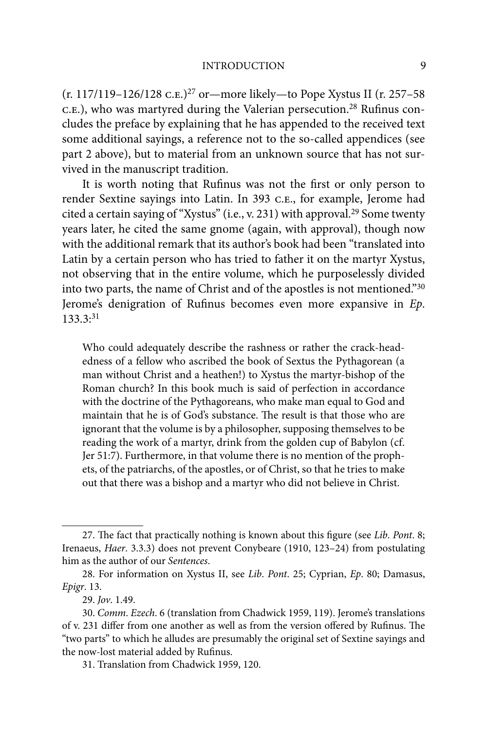#### INTRODUCTION 9

(r. 117/119–126/128 c.e.)27 or—more likely—to Pope Xystus II (r. 257–58 c.e.), who was martyred during the Valerian persecution.<sup>28</sup> Rufinus concludes the preface by explaining that he has appended to the received text some additional sayings, a reference not to the so-called appendices (see part 2 above), but to material from an unknown source that has not survived in the manuscript tradition.

It is worth noting that Rufinus was not the first or only person to render Sextine sayings into Latin. In 393 c.e., for example, Jerome had cited a certain saying of "Xystus" (i.e., v. 231) with approval.29 Some twenty years later, he cited the same gnome (again, with approval), though now with the additional remark that its author's book had been "translated into Latin by a certain person who has tried to father it on the martyr Xystus, not observing that in the entire volume, which he purposelessly divided into two parts, the name of Christ and of the apostles is not mentioned."30 Jerome's denigration of Rufinus becomes even more expansive in  $Ep$ . 133.3:31

Who could adequately describe the rashness or rather the crack-headedness of a fellow who ascribed the book of Sextus the Pythagorean (a man without Christ and a heathen!) to Xystus the martyr-bishop of the Roman church? In this book much is said of perfection in accordance with the doctrine of the Pythagoreans, who make man equal to God and maintain that he is of God's substance. The result is that those who are ignorant that the volume is by a philosopher, supposing themselves to be reading the work of a martyr, drink from the golden cup of Babylon (cf. Jer 51:7). Furthermore, in that volume there is no mention of the prophets, of the patriarchs, of the apostles, or of Christ, so that he tries to make out that there was a bishop and a martyr who did not believe in Christ.

<sup>27.</sup> The fact that practically nothing is known about this figure (see Lib. Pont. 8; Irenaeus, Haer. 3.3.3) does not prevent Conybeare (1910, 123–24) from postulating him as the author of our Sentences.

<sup>28.</sup> For information on Xystus II, see Lib. Pont. 25; Cyprian, Ep. 80; Damasus, Epigr. 13.

<sup>29.</sup> Jov. 1.49.

<sup>30.</sup> Comm. Ezech. 6 (translation from Chadwick 1959, 119). Jerome's translations of v. 231 differ from one another as well as from the version offered by Rufinus. The "two parts" to which he alludes are presumably the original set of Sextine sayings and the now-lost material added by Rufinus.

<sup>31.</sup> Translation from Chadwick 1959, 120.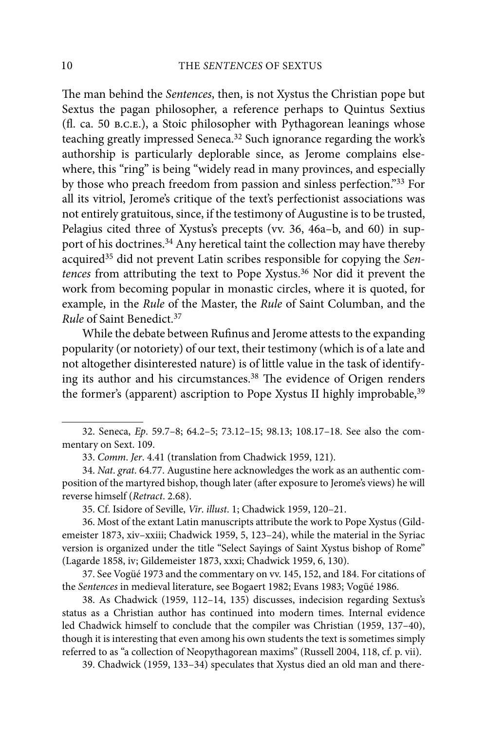The man behind the Sentences, then, is not Xystus the Christian pope but Sextus the pagan philosopher, a reference perhaps to Quintus Sextius (3. ca. 50 b.c.e.), a Stoic philosopher with Pythagorean leanings whose teaching greatly impressed Seneca.32 Such ignorance regarding the work's authorship is particularly deplorable since, as Jerome complains elsewhere, this "ring" is being "widely read in many provinces, and especially by those who preach freedom from passion and sinless perfection."33 For all its vitriol, Jerome's critique of the text's perfectionist associations was not entirely gratuitous, since, if the testimony of Augustine is to be trusted, Pelagius cited three of Xystus's precepts (vv. 36, 46a–b, and 60) in support of his doctrines.<sup>34</sup> Any heretical taint the collection may have thereby acquired<sup>35</sup> did not prevent Latin scribes responsible for copying the Sentences from attributing the text to Pope Xystus.36 Nor did it prevent the work from becoming popular in monastic circles, where it is quoted, for example, in the Rule of the Master, the Rule of Saint Columban, and the Rule of Saint Benedict.37

While the debate between Rufinus and Jerome attests to the expanding popularity (or notoriety) of our text, their testimony (which is of a late and not altogether disinterested nature) is of little value in the task of identifying its author and his circumstances.<sup>38</sup> The evidence of Origen renders the former's (apparent) ascription to Pope Xystus II highly improbable,<sup>39</sup>

35. Cf. Isidore of Seville, Vir. illust. 1; Chadwick 1959, 120–21.

36. Most of the extant Latin manuscripts attribute the work to Pope Xystus (Gildemeister 1873, xiv–xxiii; Chadwick 1959, 5, 123–24), while the material in the Syriac version is organized under the title "Select Sayings of Saint Xystus bishop of Rome" (Lagarde 1858, iv; Gildemeister 1873, xxxi; Chadwick 1959, 6, 130).

37. See Vogüé 1973 and the commentary on vv. 145, 152, and 184. For citations of the Sentences in medieval literature, see Bogaert 1982; Evans 1983; Vogüé 1986.

38. As Chadwick (1959, 112–14, 135) discusses, indecision regarding Sextus's status as a Christian author has continued into modern times. Internal evidence led Chadwick himself to conclude that the compiler was Christian (1959, 137–40), though it is interesting that even among his own students the text is sometimes simply referred to as "a collection of Neopythagorean maxims" (Russell 2004, 118, cf. p. vii).

39. Chadwick (1959, 133–34) speculates that Xystus died an old man and there-

<sup>32.</sup> Seneca, Ep. 59.7–8; 64.2–5; 73.12–15; 98.13; 108.17–18. See also the commentary on Sext. 109.

<sup>33.</sup> Comm. Jer. 4.41 (translation from Chadwick 1959, 121).

<sup>34.</sup> Nat. grat. 64.77. Augustine here acknowledges the work as an authentic composition of the martyred bishop, though later (after exposure to Jerome's views) he will reverse himself (Retract. 2.68).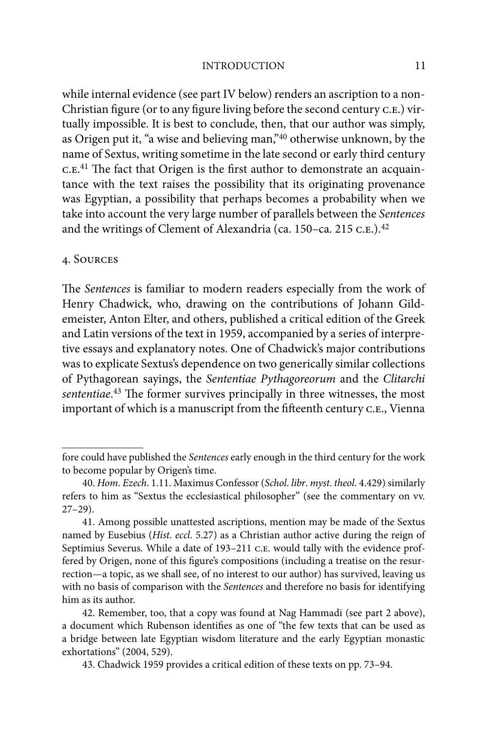#### INTRODUCTION 11

while internal evidence (see part IV below) renders an ascription to a non-Christian figure (or to any figure living before the second century c.E.) virtually impossible. It is best to conclude, then, that our author was simply, as Origen put it, "a wise and believing man,"40 otherwise unknown, by the name of Sextus, writing sometime in the late second or early third century c. E.<sup>41</sup> The fact that Origen is the first author to demonstrate an acquaintance with the text raises the possibility that its originating provenance was Egyptian, a possibility that perhaps becomes a probability when we take into account the very large number of parallels between the Sentences and the writings of Clement of Alexandria (ca. 150–ca. 215 c.e.).<sup>42</sup>

#### 4. Sources

The Sentences is familiar to modern readers especially from the work of Henry Chadwick, who, drawing on the contributions of Johann Gildemeister, Anton Elter, and others, published a critical edition of the Greek and Latin versions of the text in 1959, accompanied by a series of interpretive essays and explanatory notes. One of Chadwick's major contributions was to explicate Sextus's dependence on two generically similar collections of Pythagorean sayings, the Sententiae Pythagoreorum and the Clitarchi sententiae.<sup>43</sup> The former survives principally in three witnesses, the most important of which is a manuscript from the fifteenth century c.e., Vienna

fore could have published the Sentences early enough in the third century for the work to become popular by Origen's time.

<sup>40.</sup> Hom. Ezech. 1.11. Maximus Confessor (Schol. libr. myst. theol. 4.429) similarly refers to him as "Sextus the ecclesiastical philosopher" (see the commentary on vv. 27–29).

<sup>41.</sup> Among possible unattested ascriptions, mention may be made of the Sextus named by Eusebius (Hist. eccl. 5.27) as a Christian author active during the reign of Septimius Severus. While a date of 193-211 c.E. would tally with the evidence proffered by Origen, none of this figure's compositions (including a treatise on the resurrection—a topic, as we shall see, of no interest to our author) has survived, leaving us with no basis of comparison with the Sentences and therefore no basis for identifying him as its author.

<sup>42.</sup> Remember, too, that a copy was found at Nag Hammadi (see part 2 above), a document which Rubenson identifies as one of "the few texts that can be used as a bridge between late Egyptian wisdom literature and the early Egyptian monastic exhortations" (2004, 529).

<sup>43.</sup> Chadwick 1959 provides a critical edition of these texts on pp. 73–94.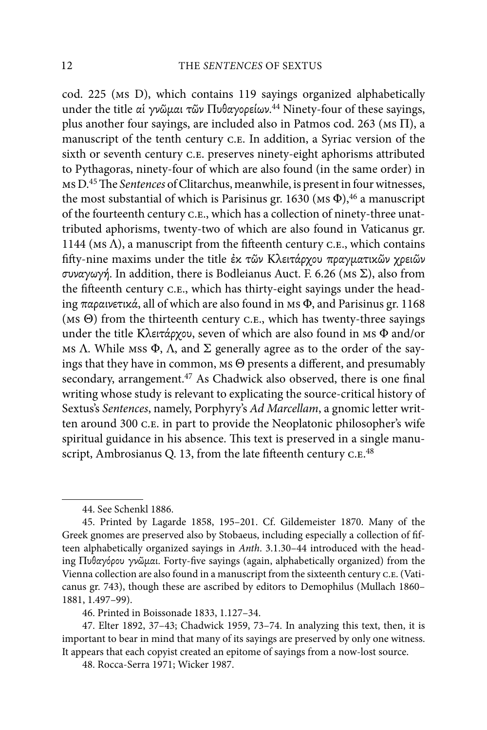cod. 225 (ms D), which contains 119 sayings organized alphabetically under the title αἱ γνῶμαι τῶν Πυθαγορείων.<sup>44</sup> Ninety-four of these sayings, plus another four sayings, are included also in Patmos cod. 263 (Ms  $\Pi$ ), a manuscript of the tenth century c.e. In addition, a Syriac version of the sixth or seventh century C.E. preserves ninety-eight aphorisms attributed to Pythagoras, ninety-four of which are also found (in the same order) in ms D.<sup>45</sup> The Sentences of Clitarchus, meanwhile, is present in four witnesses, the most substantial of which is Parisinus gr. 1630 ( $\text{MS} \Phi$ ), <sup>46</sup> a manuscript of the fourteenth century c.e., which has a collection of ninety-three unattributed aphorisms, twenty-two of which are also found in Vaticanus gr. 1144 ( $MS \Lambda$ ), a manuscript from the fifteenth century c.e., which contains fifty-nine maxims under the title έκ τῶν Κλειτάρχου πραγματικῶν χρειῶν συναγωγή. In addition, there is Bodleianus Auct. F. 6.26 (MS  $\Sigma$ ), also from the fifteenth century C.E., which has thirty-eight sayings under the heading  $\pi \alpha \rho \alpha \nu \epsilon \tau$  ix  $\dot{\alpha}$ , all of which are also found in Ms  $\Phi$ , and Parisinus gr. 1168 ( $MS \Theta$ ) from the thirteenth century c.e., which has twenty-three sayings under the title K $\lambda$ ειτάρχου, seven of which are also found in MS  $\Phi$  and/or Ms  $\Lambda$ . While Mss  $\Phi$ ,  $\Lambda$ , and  $\Sigma$  generally agree as to the order of the sayings that they have in common,  $ms \Theta$  presents a different, and presumably secondary, arrangement.<sup>47</sup> As Chadwick also observed, there is one final writing whose study is relevant to explicating the source-critical history of Sextus's Sentences, namely, Porphyry's Ad Marcellam, a gnomic letter written around 300 c.E. in part to provide the Neoplatonic philosopher's wife spiritual guidance in his absence. This text is preserved in a single manuscript, Ambrosianus Q. 13, from the late fifteenth century c.E.<sup>48</sup>

<sup>44.</sup> See Schenkl 1886.

<sup>45.</sup> Printed by Lagarde 1858, 195–201. Cf. Gildemeister 1870. Many of the Greek gnomes are preserved also by Stobaeus, including especially a collection of fifteen alphabetically organized sayings in Anth. 3.1.30–44 introduced with the heading Πυθαγόρου γνῶμαι. Forty-five sayings (again, alphabetically organized) from the Vienna collection are also found in a manuscript from the sixteenth century c.e. (Vaticanus gr. 743), though these are ascribed by editors to Demophilus (Mullach 1860– 1881, 1.497–99).

<sup>46.</sup> Printed in Boissonade 1833, 1.127–34.

<sup>47.</sup> Elter 1892, 37–43; Chadwick 1959, 73–74. In analyzing this text, then, it is important to bear in mind that many of its sayings are preserved by only one witness. It appears that each copyist created an epitome of sayings from a now-lost source.

<sup>48.</sup> Rocca-Serra 1971; Wicker 1987.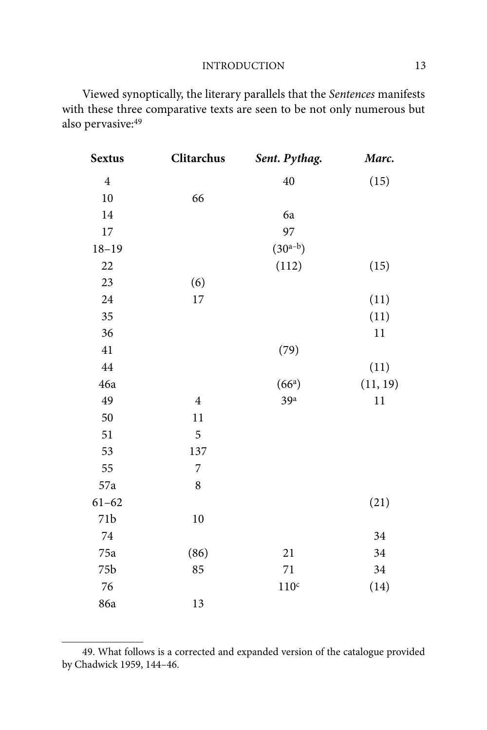Viewed synoptically, the literary parallels that the Sentences manifests with these three comparative texts are seen to be not only numerous but also pervasive:49

| <b>Sextus</b>  | Clitarchus              | Sent. Pythag.      | Marc.    |
|----------------|-------------------------|--------------------|----------|
| $\overline{4}$ |                         | 40                 | (15)     |
| $10\,$         | 66                      |                    |          |
| 14             |                         | 6a                 |          |
| 17             |                         | 97                 |          |
| $18 - 19$      |                         | $(30^{a-b})$       |          |
| 22             |                         | (112)              | (15)     |
| 23             | (6)                     |                    |          |
| 24             | $17\,$                  |                    | (11)     |
| 35             |                         |                    | (11)     |
| 36             |                         |                    | $1\,1$   |
| 41             |                         | (79)               |          |
| 44             |                         |                    | (11)     |
| 46a            |                         | (66 <sup>a</sup> ) | (11, 19) |
| 49             | $\overline{\mathbf{4}}$ | 39 <sup>a</sup>    | 11       |
| 50             | 11                      |                    |          |
| 51             | 5                       |                    |          |
| 53             | 137                     |                    |          |
| 55             | $\overline{7}$          |                    |          |
| 57a            | 8                       |                    |          |
| $61 - 62$      |                         |                    | (21)     |
| 71b            | 10                      |                    |          |
| $74\,$         |                         |                    | 34       |
| 75a            | (86)                    | 21                 | 34       |
| 75b            | 85                      | $71\,$             | 34       |
| 76             |                         | 110 <sup>c</sup>   | (14)     |
| 86a            | 13                      |                    |          |

<sup>49.</sup> What follows is a corrected and expanded version of the catalogue provided by Chadwick 1959, 144–46.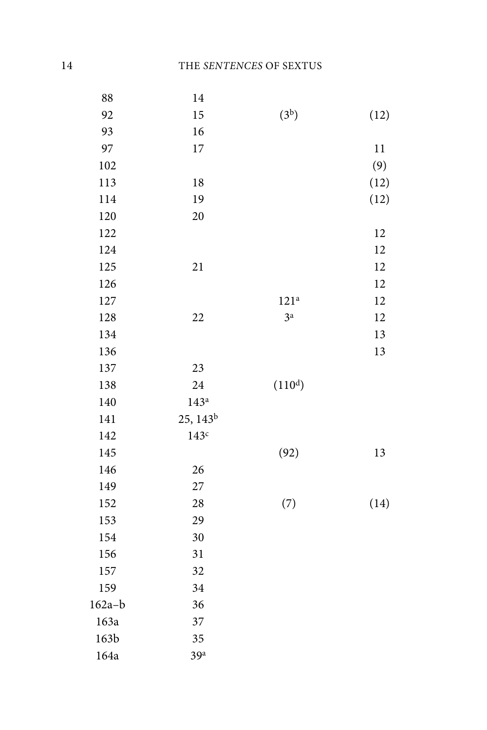| 88       | 14                   |                     |      |
|----------|----------------------|---------------------|------|
| 92       | 15                   | (3 <sup>b</sup> )   | (12) |
| 93       | 16                   |                     |      |
| 97       | 17                   |                     | 11   |
| 102      |                      |                     | (9)  |
| 113      | 18                   |                     | (12) |
| 114      | 19                   |                     | (12) |
| 120      | 20                   |                     |      |
| 122      |                      |                     | 12   |
| 124      |                      |                     | 12   |
| 125      | 21                   |                     | 12   |
| 126      |                      |                     | 12   |
| 127      |                      | 121 <sup>a</sup>    | 12   |
| 128      | 22                   | 3 <sup>a</sup>      | 12   |
| 134      |                      |                     | 13   |
| 136      |                      |                     | 13   |
| 137      | 23                   |                     |      |
| 138      | 24                   | (110 <sup>d</sup> ) |      |
| 140      | 143 <sup>a</sup>     |                     |      |
| 141      | 25, 143 <sup>b</sup> |                     |      |
| 142      | 143c                 |                     |      |
| 145      |                      | (92)                | 13   |
| 146      | 26                   |                     |      |
| 149      | 27                   |                     |      |
| 152      | 28                   | (7)                 | (14) |
| 153      | 29                   |                     |      |
| 154      | 30                   |                     |      |
| 156      | 31                   |                     |      |
| 157      | 32                   |                     |      |
| 159      | 34                   |                     |      |
| $162a-b$ | 36                   |                     |      |
| 163a     | 37                   |                     |      |
| 163b     | 35                   |                     |      |
| 164a     | 39 <sup>a</sup>      |                     |      |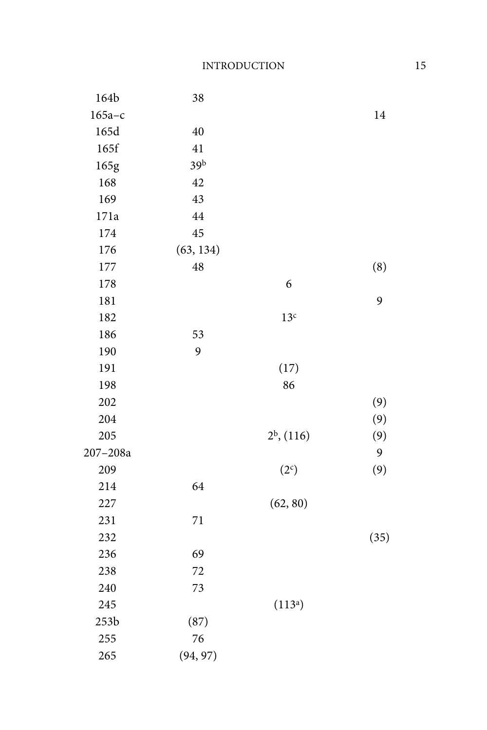| 164b         | 38        |                     |      |
|--------------|-----------|---------------------|------|
| $165a-c$     |           |                     | 14   |
| 165d         | 40        |                     |      |
| 165f         | 41        |                     |      |
| 165g         | 39b       |                     |      |
| 168          | 42        |                     |      |
| 169          | 43        |                     |      |
| 171a         | 44        |                     |      |
| 174          | 45        |                     |      |
| 176          | (63, 134) |                     |      |
| 177          | 48        |                     | (8)  |
| 178          |           | 6                   |      |
| 181          |           |                     | 9    |
| 182          |           | 13 <sup>c</sup>     |      |
| 186          | 53        |                     |      |
| 190          | 9         |                     |      |
| 191          |           | (17)                |      |
| 198          |           | 86                  |      |
| 202          |           |                     | (9)  |
| 204          |           |                     | (9)  |
| 205          |           | $2^b$ , (116)       | (9)  |
| $207 - 208a$ |           |                     | 9    |
| 209          |           | (2c)                | (9)  |
| 214          | 64        |                     |      |
| 227          |           | (62, 80)            |      |
| 231          | 71        |                     |      |
| 232          |           |                     | (35) |
| 236          | 69        |                     |      |
| 238          | 72        |                     |      |
| 240          | 73        |                     |      |
| 245          |           | (113 <sup>a</sup> ) |      |
| 253b         | (87)      |                     |      |
| 255          | 76        |                     |      |
| 265          | (94, 97)  |                     |      |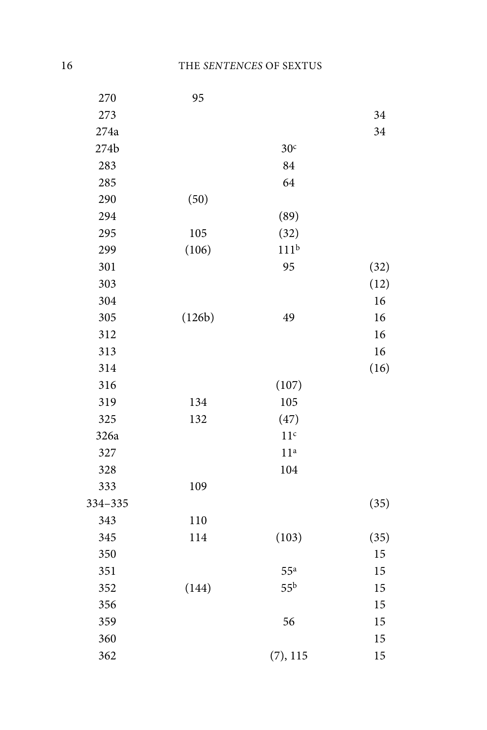| 270     | 95     |                  |      |
|---------|--------|------------------|------|
| 273     |        |                  | 34   |
| 274a    |        |                  | 34   |
| 274b    |        | 30 <sup>c</sup>  |      |
| 283     |        | 84               |      |
| 285     |        | 64               |      |
| 290     | (50)   |                  |      |
| 294     |        | (89)             |      |
| 295     | 105    | (32)             |      |
| 299     | (106)  | 111 <sup>b</sup> |      |
| 301     |        | 95               | (32) |
| 303     |        |                  | (12) |
| 304     |        |                  | 16   |
| 305     | (126b) | 49               | 16   |
| 312     |        |                  | 16   |
| 313     |        |                  | 16   |
| 314     |        |                  | (16) |
| 316     |        | (107)            |      |
| 319     | 134    | 105              |      |
| 325     | 132    | (47)             |      |
| 326a    |        | 11 <sup>c</sup>  |      |
| 327     |        | 11 <sup>a</sup>  |      |
| 328     |        | 104              |      |
| 333     | 109    |                  |      |
| 334-335 |        |                  | (35) |
| 343     | 110    |                  |      |
| 345     | 114    | (103)            | (35) |
| 350     |        |                  | 15   |
| 351     |        | 55 <sup>a</sup>  | 15   |
| 352     | (144)  | 55 <sup>b</sup>  | 15   |
| 356     |        |                  | 15   |
| 359     |        | 56               | 15   |
| 360     |        |                  | 15   |
| 362     |        | (7), 115         | 15   |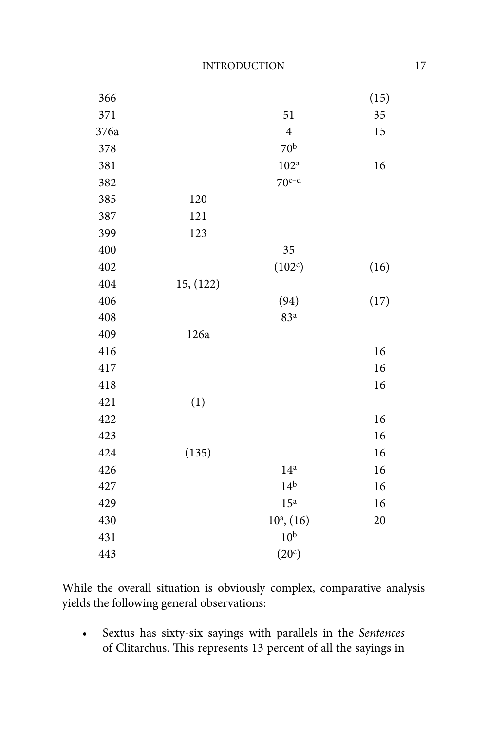| 366  |           |                  | (15) |
|------|-----------|------------------|------|
| 371  |           | 51               | 35   |
| 376a |           | $\overline{4}$   | 15   |
| 378  |           | 70 <sup>b</sup>  |      |
| 381  |           | 102 <sup>a</sup> | 16   |
| 382  |           | $70c-d$          |      |
| 385  | 120       |                  |      |
| 387  | 121       |                  |      |
| 399  | 123       |                  |      |
| 400  |           | 35               |      |
| 402  |           | (102c)           | (16) |
| 404  | 15, (122) |                  |      |
| 406  |           | (94)             | (17) |
| 408  |           | 83 <sup>a</sup>  |      |
| 409  | 126a      |                  |      |
| 416  |           |                  | 16   |
| 417  |           |                  | 16   |
| 418  |           |                  | 16   |
| 421  | (1)       |                  |      |
| 422  |           |                  | 16   |
| 423  |           |                  | 16   |
| 424  | (135)     |                  | 16   |
| 426  |           | 14 <sup>a</sup>  | 16   |
| 427  |           | 14 <sup>b</sup>  | 16   |
| 429  |           | 15 <sup>a</sup>  | 16   |
| 430  |           | $10^a$ , $(16)$  | 20   |
| 431  |           | 10 <sup>b</sup>  |      |
| 443  |           | (20c)            |      |

While the overall situation is obviously complex, comparative analysis yields the following general observations:

• Sextus has sixty-six sayings with parallels in the Sentences of Clitarchus. This represents 13 percent of all the sayings in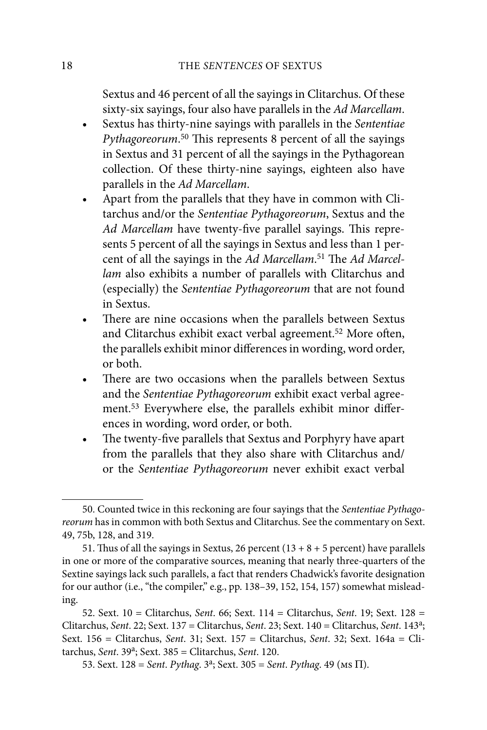Sextus and 46 percent of all the sayings in Clitarchus. Of these sixty-six sayings, four also have parallels in the Ad Marcellam.

- Sextus has thirty-nine sayings with parallels in the Sententiae Pythagoreorum.<sup>50</sup> This represents 8 percent of all the sayings in Sextus and 31 percent of all the sayings in the Pythagorean collection. Of these thirty-nine sayings, eighteen also have parallels in the Ad Marcellam.
- Apart from the parallels that they have in common with Clitarchus and/or the Sententiae Pythagoreorum, Sextus and the Ad Marcellam have twenty-five parallel sayings. This represents 5 percent of all the sayings in Sextus and less than 1 percent of all the sayings in the Ad Marcellam.<sup>51</sup> The Ad Marcellam also exhibits a number of parallels with Clitarchus and (especially) the Sententiae Pythagoreorum that are not found in Sextus.
- There are nine occasions when the parallels between Sextus and Clitarchus exhibit exact verbal agreement.<sup>52</sup> More often, the parallels exhibit minor differences in wording, word order, or both.
- There are two occasions when the parallels between Sextus and the Sententiae Pythagoreorum exhibit exact verbal agreement.<sup>53</sup> Everywhere else, the parallels exhibit minor differences in wording, word order, or both.
- The twenty-five parallels that Sextus and Porphyry have apart from the parallels that they also share with Clitarchus and/ or the Sententiae Pythagoreorum never exhibit exact verbal

<sup>50.</sup> Counted twice in this reckoning are four sayings that the Sententiae Pythagoreorum has in common with both Sextus and Clitarchus. See the commentary on Sext. 49, 75b, 128, and 319.

<sup>51.</sup> Thus of all the sayings in Sextus, 26 percent  $(13 + 8 + 5$  percent) have parallels in one or more of the comparative sources, meaning that nearly three-quarters of the Sextine sayings lack such parallels, a fact that renders Chadwick's favorite designation for our author (i.e., "the compiler," e.g., pp. 138–39, 152, 154, 157) somewhat misleading.

<sup>52.</sup> Sext.  $10 =$  Clitarchus, Sent. 66; Sext.  $114 =$  Clitarchus, Sent. 19; Sext. 128 = Clitarchus, Sent. 22; Sext. 137 = Clitarchus, Sent. 23; Sext. 140 = Clitarchus, Sent. 143a; Sext. 156 = Clitarchus, Sent. 31; Sext. 157 = Clitarchus, Sent. 32; Sext. 164a = Clitarchus, Sent.  $39<sup>a</sup>$ ; Sext.  $385$  = Clitarchus, Sent. 120.

<sup>53.</sup> Sext. 128 = Sent. Pythag.  $3^a$ ; Sext. 305 = Sent. Pythag. 49 (Ms  $\Pi$ ).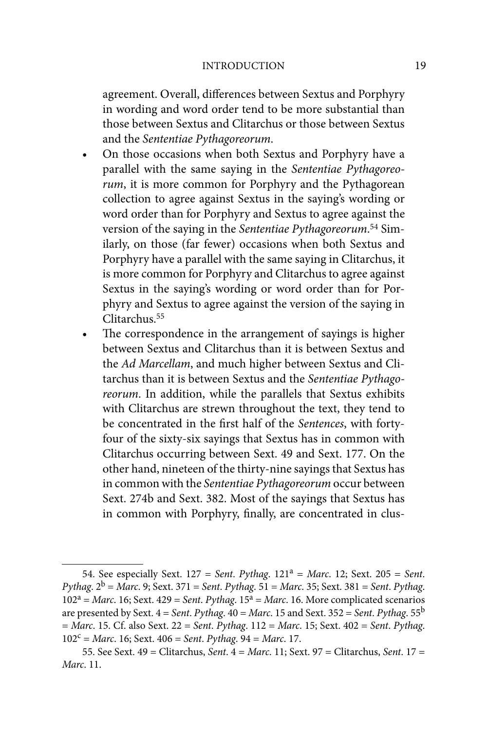#### INTRODUCTION 19

agreement. Overall, differences between Sextus and Porphyry in wording and word order tend to be more substantial than those between Sextus and Clitarchus or those between Sextus and the Sententiae Pythagoreorum.

- On those occasions when both Sextus and Porphyry have a parallel with the same saying in the Sententiae Pythagoreorum, it is more common for Porphyry and the Pythagorean collection to agree against Sextus in the saying's wording or word order than for Porphyry and Sextus to agree against the version of the saying in the Sententiae Pythagoreorum.<sup>54</sup> Similarly, on those (far fewer) occasions when both Sextus and Porphyry have a parallel with the same saying in Clitarchus, it is more common for Porphyry and Clitarchus to agree against Sextus in the saying's wording or word order than for Porphyry and Sextus to agree against the version of the saying in Clitarchus.55
- The correspondence in the arrangement of sayings is higher between Sextus and Clitarchus than it is between Sextus and the Ad Marcellam, and much higher between Sextus and Clitarchus than it is between Sextus and the Sententiae Pythagoreorum. In addition, while the parallels that Sextus exhibits with Clitarchus are strewn throughout the text, they tend to be concentrated in the first half of the Sentences, with fortyfour of the sixty-six sayings that Sextus has in common with Clitarchus occurring between Sext. 49 and Sext. 177. On the other hand, nineteen of the thirty-nine sayings that Sextus has in common with the Sententiae Pythagoreorum occur between Sext. 274b and Sext. 382. Most of the sayings that Sextus has in common with Porphyry, finally, are concentrated in clus-

<sup>54.</sup> See especially Sext.  $127 = Sent. Pythag. 121<sup>a</sup> = Marc. 12$ ; Sext.  $205 = Sent.$ Pythag.  $2^b$  = Marc. 9; Sext. 371 = Sent. Pythag. 51 = Marc. 35; Sext. 381 = Sent. Pythag.  $102^a$  = Marc. 16; Sext. 429 = Sent. Pythag. 15<sup>a</sup> = Marc. 16. More complicated scenarios are presented by Sext.  $4 = Sent$ . Pythag.  $40 = Marc$ . 15 and Sext. 352 = Sent. Pythag. 55<sup>b</sup>  $= Marc.$  15. Cf. also Sext. 22 = Sent. Pythag. 112 = Marc. 15; Sext. 402 = Sent. Pythag.  $102^c$  = Marc. 16; Sext. 406 = Sent. Pythag. 94 = Marc. 17.

<sup>55.</sup> See Sext. 49 = Clitarchus, Sent. 4 = Marc. 11; Sext. 97 = Clitarchus, Sent. 17 = Marc. 11.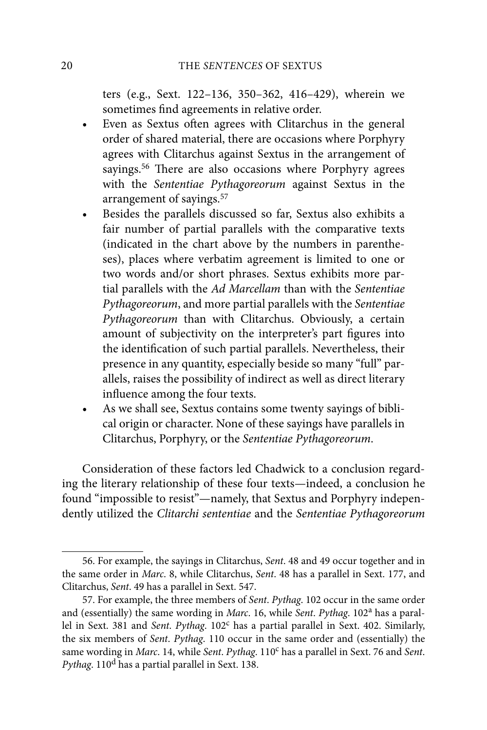ters (e.g., Sext. 122–136, 350–362, 416–429), wherein we sometimes find agreements in relative order.

- Even as Sextus often agrees with Clitarchus in the general order of shared material, there are occasions where Porphyry agrees with Clitarchus against Sextus in the arrangement of sayings.<sup>56</sup> There are also occasions where Porphyry agrees with the Sententiae Pythagoreorum against Sextus in the arrangement of sayings.57
- Besides the parallels discussed so far, Sextus also exhibits a fair number of partial parallels with the comparative texts (indicated in the chart above by the numbers in parentheses), places where verbatim agreement is limited to one or two words and/or short phrases. Sextus exhibits more partial parallels with the Ad Marcellam than with the Sententiae Pythagoreorum, and more partial parallels with the Sententiae Pythagoreorum than with Clitarchus. Obviously, a certain amount of subjectivity on the interpreter's part figures into the identification of such partial parallels. Nevertheless, their presence in any quantity, especially beside so many "full" parallels, raises the possibility of indirect as well as direct literary influence among the four texts.
- As we shall see, Sextus contains some twenty sayings of biblical origin or character. None of these sayings have parallels in Clitarchus, Porphyry, or the Sententiae Pythagoreorum.

Consideration of these factors led Chadwick to a conclusion regarding the literary relationship of these four texts—indeed, a conclusion he found "impossible to resist"—namely, that Sextus and Porphyry independently utilized the Clitarchi sententiae and the Sententiae Pythagoreorum

<sup>56.</sup> For example, the sayings in Clitarchus, Sent. 48 and 49 occur together and in the same order in Marc. 8, while Clitarchus, Sent. 48 has a parallel in Sext. 177, and Clitarchus, Sent. 49 has a parallel in Sext. 547.

<sup>57.</sup> For example, the three members of Sent. Pythag. 102 occur in the same order and (essentially) the same wording in Marc. 16, while Sent. Pythag. 102<sup>a</sup> has a parallel in Sext. 381 and Sent. Pythag. 102<sup>c</sup> has a partial parallel in Sext. 402. Similarly, the six members of Sent. Pythag. 110 occur in the same order and (essentially) the same wording in Marc. 14, while Sent. Pythag. 110<sup>c</sup> has a parallel in Sext. 76 and Sent. Pythag. 110d has a partial parallel in Sext. 138.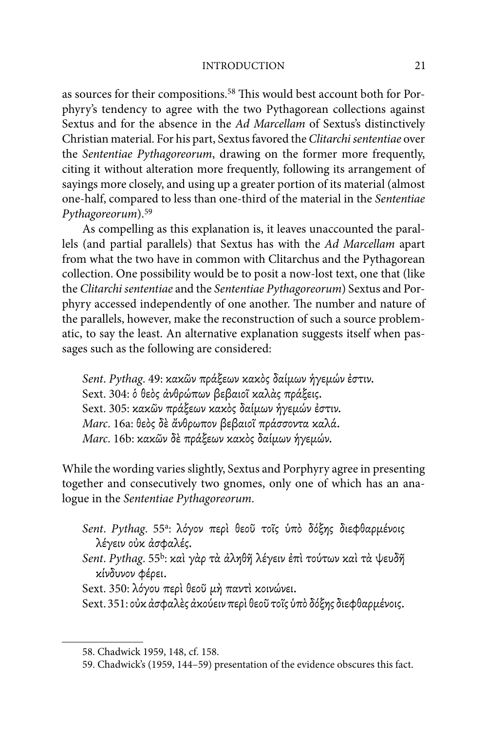#### INTRODUCTION 21

as sources for their compositions.<sup>58</sup> This would best account both for Porphyry's tendency to agree with the two Pythagorean collections against Sextus and for the absence in the Ad Marcellam of Sextus's distinctively Christian material. For his part, Sextus favored the Clitarchi sententiae over the Sententiae Pythagoreorum, drawing on the former more frequently, citing it without alteration more frequently, following its arrangement of sayings more closely, and using up a greater portion of its material (almost one-half, compared to less than one-third of the material in the Sententiae Pythagoreorum).59

As compelling as this explanation is, it leaves unaccounted the parallels (and partial parallels) that Sextus has with the Ad Marcellam apart from what the two have in common with Clitarchus and the Pythagorean collection. One possibility would be to posit a now-lost text, one that (like the Clitarchi sententiae and the Sententiae Pythagoreorum) Sextus and Porphyry accessed independently of one another. The number and nature of the parallels, however, make the reconstruction of such a source problematic, to say the least. An alternative explanation suggests itself when passages such as the following are considered:

Sent. Pythag. 49: κακῶν πράξεων κακὸς δαίμων ήγεμών έστιν. Sext. 304: δ θεός άνθρώπων βεβαιοΐ καλάς πράξεις. Sext. 305: κακῶν πράξεων κακὸς δαίμων ήγεμών έστιν. Marc. 16a: θεός δε άνθρωπον βεβαιοΐ πράσσοντα καλά. Marc. 16b: κακῶν δε πράξεων κακὸς δαίμων ήγεμών.

While the wording varies slightly, Sextus and Porphyry agree in presenting together and consecutively two gnomes, only one of which has an analogue in the Sententiae Pythagoreorum.

- Sent. Pythag. 55<sup>a</sup>: λόγον περί θεοῦ τοῖς ὑπὸ δόξης διεφθαρμένοις λέγειν οὐκ ἀσφαλές.
- Sent. Pythag. 55<sup>b</sup>: καὶ γὰρ τὰ ἀληθῆ λέγειν ἐπὶ τούτων καὶ τὰ ψευδῆ κίνδυνον Φέρει.
- Sext. 350: λόγου περί θεοῦ μή παντί κοινώνει.
- Sext. 351: οὐκ ἀσφαλὲς ἀκούειν περὶ θεοῦ τοῖς ὑπὸ δόξης διεφθαρμένοις.

<sup>58.</sup> Chadwick 1959, 148, cf. 158.

<sup>59.</sup> Chadwick's (1959, 144–59) presentation of the evidence obscures this fact.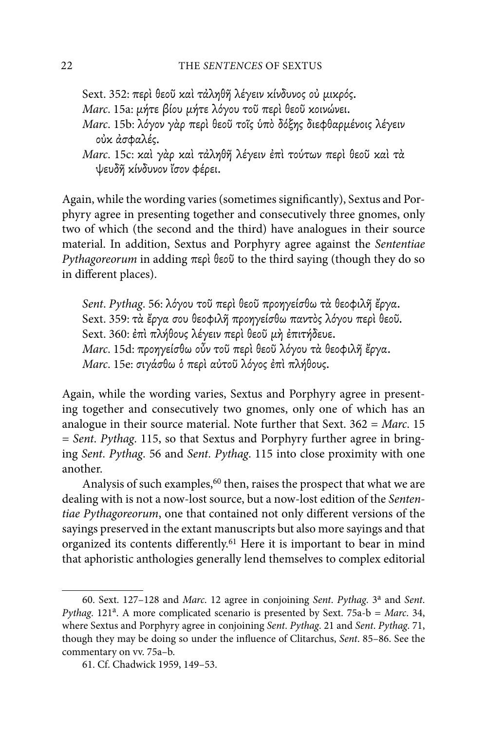Sext. 352: περί θεοῦ καὶ τἀληθῆ λέγειν κίνδυνος οὐ μικρός. Marc. 15a: μήτε βίου μήτε λόγου τοῦ περὶ θεοῦ κοινώνει. Marc. 15b: λόγον γάρ περί θεοῦ τοῖς υπό δόξης διεφθαρμένοις λέγειν ούκ άσφαλές.

Marc. 15c: και γάρ και τάληθη λέγειν έπι τούτων περι θεοῦ και τά ψευδῆ κίνδυνον ἴσον Φέρει.

Again, while the wording varies (sometimes significantly), Sextus and Porphyry agree in presenting together and consecutively three gnomes, only two of which (the second and the third) have analogues in their source material. In addition, Sextus and Porphyry agree against the Sententiae Pythagoreorum in adding  $\pi \epsilon \rho$  beo to the third saying (though they do so in different places).

Sent. Pythag. 56: λόγου τοῦ περὶ θεοῦ προηγείσθω τὰ θεοφιλῆ ἔργα. Sext. 359: τά έργα σου θεοφιλή προηγείσθω παντός λόγου περί θεοῦ. Sext. 360: έπι πλήθους λέγειν περι θεοῦ μη έπιτήδευε. Marc. 15d: προηγείσθω οὖν τοῦ περὶ θεοῦ λόγου τὰ θεοφιλῆ ἔργα. Marc. 15e: σιγάσθω ό περί αύτοῦ λόγος ἐπὶ πλήθους.

Again, while the wording varies, Sextus and Porphyry agree in presenting together and consecutively two gnomes, only one of which has an analogue in their source material. Note further that Sext.  $362 = Marc$ . 15 = Sent. Pythag. 115, so that Sextus and Porphyry further agree in bringing Sent. Pythag. 56 and Sent. Pythag. 115 into close proximity with one another.

Analysis of such examples,<sup>60</sup> then, raises the prospect that what we are dealing with is not a now-lost source, but a now-lost edition of the Sententiae Pythagoreorum, one that contained not only different versions of the sayings preserved in the extant manuscripts but also more sayings and that organized its contents differently.<sup>61</sup> Here it is important to bear in mind that aphoristic anthologies generally lend themselves to complex editorial

<sup>60.</sup> Sext. 127-128 and Marc. 12 agree in conjoining Sent. Pythag. 3<sup>a</sup> and Sent. Pythag. 121<sup>a</sup>. A more complicated scenario is presented by Sext. 75a-b = Marc. 34, where Sextus and Porphyry agree in conjoining Sent. Pythag. 21 and Sent. Pythag. 71, though they may be doing so under the influence of Clitarchus, Sent. 85-86. See the commentary on vv. 75a–b.

<sup>61.</sup> Cf. Chadwick 1959, 149–53.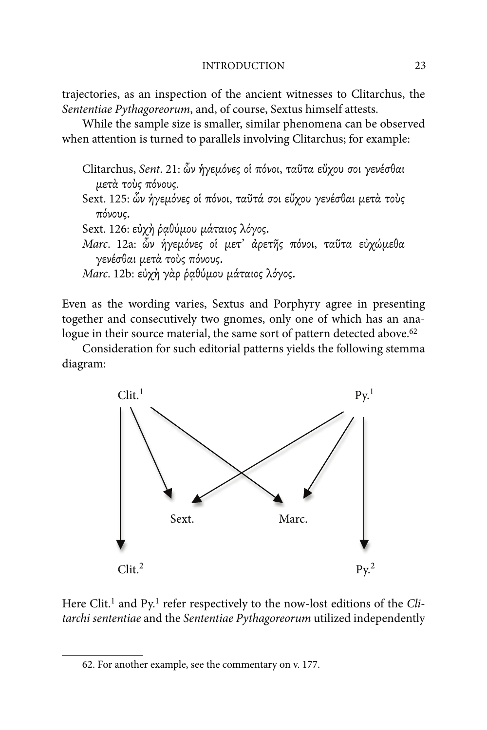trajectories, as an inspection of the ancient witnesses to Clitarchus, the Sententiae Pythagoreorum, and, of course, Sextus himself attests.

While the sample size is smaller, similar phenomena can be observed when attention is turned to parallels involving Clitarchus; for example:

Clitarchus, Sent. 21: ὧν ήγεμόνες οί πόνοι, ταῦτα εὔχου σοι γενέσθαι μετά τοὺς πόνους.

Sext. 125: ὧν ήγεμόνες οί πόνοι, ταῦτά σοι εὔχου γενέσθαι μετὰ τοὺς πόνους.

Sext. 126: εύχη ραθύμου μάταιος λόγος.

Marc. 12a: ὧν ήγεμόνες οι μετ' άρετης πόνοι, ταῦτα εὐχώμεθα γενέσθαι μετά τούς πόνους.

Marc. 12b: εύχή γάρ ραθύμου μάταιος λόγος.

Even as the wording varies, Sextus and Porphyry agree in presenting together and consecutively two gnomes, only one of which has an analogue in their source material, the same sort of pattern detected above.<sup>62</sup>

Consideration for such editorial patterns yields the following stemma diagram:



Here Clit.<sup>1</sup> and Py.<sup>1</sup> refer respectively to the now-lost editions of the Clitarchi sententiae and the Sententiae Pythagoreorum utilized independently

<sup>62.</sup> For another example, see the commentary on v. 177.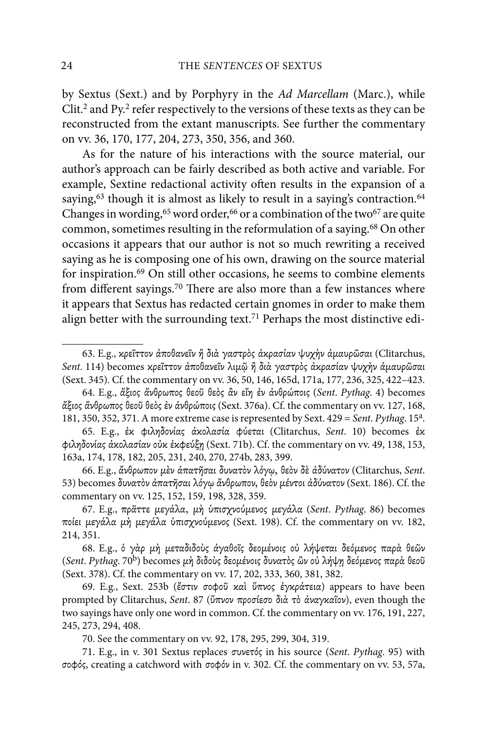by Sextus (Sext.) and by Porphyry in the Ad Marcellam (Marc.), while Clit.2 and Py.2 refer respectively to the versions of these texts as they can be reconstructed from the extant manuscripts. See further the commentary on vv. 36, 170, 177, 204, 273, 350, 356, and 360.

As for the nature of his interactions with the source material, our author's approach can be fairly described as both active and variable. For example, Sextine redactional activity often results in the expansion of a saying,<sup>63</sup> though it is almost as likely to result in a saying's contraction.<sup>64</sup> Changes in wording,  $65$  word order,  $66$  or a combination of the two  $67$  are quite common, sometimes resulting in the reformulation of a saying.<sup>68</sup> On other occasions it appears that our author is not so much rewriting a received saying as he is composing one of his own, drawing on the source material for inspiration.69 On still other occasions, he seems to combine elements from different sayings.<sup>70</sup> There are also more than a few instances where it appears that Sextus has redacted certain gnomes in order to make them align better with the surrounding text.<sup>71</sup> Perhaps the most distinctive edi-

<sup>63.</sup> E.g., κρεΐττον ἀποθανεῖν ἢ διὰ γαστρὸς ἀκρασίαν ψυχὴν ἀμαυρῶσαι (Clitarchus, Sent. 114) becomes κρεῖττον ἀποθανεῖν λιμῷ ἢ διὰ γαστρὸς ἀκρασίαν ψυχὴν ἀμαυρῶσαι (Sext. 345). Cf. the commentary on vv. 36, 50, 146, 165d, 171a, 177, 236, 325, 422–423.

<sup>64.</sup> E.g., άξιος άνθρωπος θεοῦ θεὸς ἀν εἴη ἐν ἀνθρώποις (Sent. Pythag. 4) becomes άξιος άνθρωπος θεοῦ θεὸς ἐν ἀνθρώποις (Sext. 376a). Cf. the commentary on vv. 127, 168, 181, 350, 352, 371. A more extreme case is represented by Sext.  $429 = Sent$ . Pythag.  $15<sup>a</sup>$ .

<sup>65.</sup> E.g., έκ φιληδονίας άκολασία φύεται (Clitarchus, Sent. 10) becomes έκ φιληδονίας άκολασίαν ούκ έκφεύξη (Sext. 71b). Cf. the commentary on vv. 49, 138, 153, 163a, 174, 178, 182, 205, 231, 240, 270, 274b, 283, 399.

<sup>66.</sup> E.g., ἄνθρωπον μεν ἀπατῆσαι δυνατον λόγω, θεον δε ἀδύνατον (Clitarchus, Sent. 53) becomes δυνατόν άπατῆσαι λόγῳ ἄνθρωπον, θεὸν μέντοι ἀδύνατον (Sext. 186). Cf. the commentary on vv. 125, 152, 159, 198, 328, 359.

<sup>67.</sup> E.g., πράττε μεγάλα, μή ύπισχνούμενος μεγάλα (Sent. Pythag. 86) becomes ποίει μεγάλα μή μεγάλα ύπισχνούμενος (Sext. 198). Cf. the commentary on vv. 182, 214, 351.

<sup>68.</sup> E.g., δ γάρ μή μεταδιδούς άγαθοῖς δεομένοις οὐ λήψεται δεόμενος παρὰ θεῶν (Sent. Pythag. 70<sup>b</sup>) becomes μή διδούς δεομένοις δυνατός ὢν οὐ λήψη δεόμενος παρά θεοῦ (Sext. 378). Cf. the commentary on vv. 17, 202, 333, 360, 381, 382.

<sup>69.</sup> E.g., Sext. 253b (έστιν σοφοῦ καὶ ὕπνος ἐγκράτεια) appears to have been prompted by Clitarchus, Sent. 87 (ὕπνον προσίεσο διὰ τὸ ἀναγκαῖον), even though the two sayings have only one word in common. Cf. the commentary on vv. 176, 191, 227, 245, 273, 294, 408.

<sup>70.</sup> See the commentary on vv. 92, 178, 295, 299, 304, 319.

<sup>71.</sup> E.g., in v. 301 Sextus replaces συνετός in his source (Sent. Pythag. 95) with σοφός, creating a catchword with σοφόν in v. 302. Cf. the commentary on vv. 53, 57a,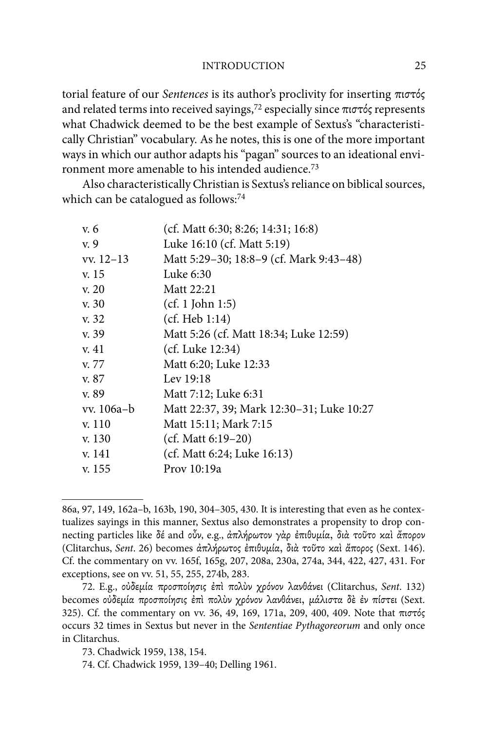INTRODUCTION 25

torial feature of our Sentences is its author's proclivity for inserting  $\pi\iota\sigma\tau\delta\varsigma$ and related terms into received sayings,<sup>72</sup> especially since  $\pi$ <sup>1</sup> $\sigma$ r $\sigma$ <sup>2</sup> represents what Chadwick deemed to be the best example of Sextus's "characteristically Christian" vocabulary. As he notes, this is one of the more important ways in which our author adapts his "pagan" sources to an ideational environment more amenable to his intended audience.73

Also characteristically Christian is Sextus's reliance on biblical sources, which can be catalogued as follows:<sup>74</sup>

| v. 6        | (cf. Matt 6:30; 8:26; 14:31; 16:8)        |
|-------------|-------------------------------------------|
| v. 9        | Luke 16:10 (cf. Matt 5:19)                |
| $vx. 12-13$ | Matt 5:29-30; 18:8-9 (cf. Mark 9:43-48)   |
| v. 15       | Luke 6:30                                 |
| v. 20       | Matt 22:21                                |
| v. 30       | (cf. 1 John 1:5)                          |
| v. 32       | (cf. Heb 1:14)                            |
| v. 39       | Matt 5:26 (cf. Matt 18:34; Luke 12:59)    |
| v. 41       | (cf. Luke 12:34)                          |
| v. 77       | Matt 6:20; Luke 12:33                     |
| v. 87       | Lev 19:18                                 |
| v. 89       | Matt 7:12; Luke 6:31                      |
| vv. 106a-b  | Matt 22:37, 39; Mark 12:30–31; Luke 10:27 |
| v. 110      | Matt 15:11; Mark 7:15                     |
| v. 130      | $(cf. Matt 6:19-20)$                      |
| v. 141      | (cf. Matt 6:24; Luke 16:13)               |
| v. 155      | Prov 10:19a                               |
|             |                                           |

<sup>86</sup>a, 97, 149, 162a–b, 163b, 190, 304–305, 430. It is interesting that even as he contextualizes sayings in this manner, Sextus also demonstrates a propensity to drop connecting particles like δέ and οὖν, e.g., ἀπλήρωτον γὰρ ἐπιθυμία, διὰ τοῦτο καὶ ἄπορον (Clitarchus, Sent. 26) becomes ἀπλήρωτος ἐπιθυμία, διὰ τοῦτο καὶ ἄπορος (Sext. 146). Cf. the commentary on vv. 165f, 165g, 207, 208a, 230a, 274a, 344, 422, 427, 431. For exceptions, see on vv. 51, 55, 255, 274b, 283.

<sup>72.</sup> E.g., ούδεμία προσποίησις έπι πολύν χρόνον λανθάνει (Clitarchus, Sent. 132) becomes ούδεμία προσποίησις έπι πολύν χρόνον λανθάνει, μάλιστα δε έν πίστει (Sext. 325). Cf. the commentary on vv. 36, 49, 169, 171a, 209, 400, 409. Note that  $\pi\iota\sigma\tau\delta\varsigma$ occurs 32 times in Sextus but never in the Sententiae Pythagoreorum and only once in Clitarchus.

<sup>73.</sup> Chadwick 1959, 138, 154.

<sup>74.</sup> Cf. Chadwick 1959, 139–40; Delling 1961.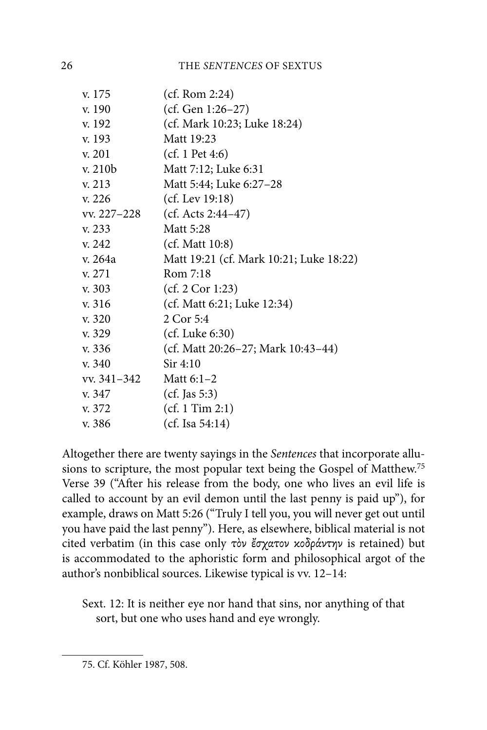| v. 175      | (cf. Rom 2:24)                          |
|-------------|-----------------------------------------|
| v. 190      | (cf. Gen 1:26-27)                       |
| v. 192      | (cf. Mark 10:23; Luke 18:24)            |
| v. 193      | Matt 19:23                              |
| v. 201      | (cf. 1 Pet 4:6)                         |
| v. 210b     | Matt 7:12; Luke 6:31                    |
| v. 213      | Matt 5:44; Luke 6:27-28                 |
| v. 226      | (cf. Lev $19:18$ )                      |
| vv. 227–228 | (cf. Acts $2:44-47$ )                   |
| v. 233      | Matt 5:28                               |
| v. 242      | (cf. Matt 10:8)                         |
| v. 264a     | Matt 19:21 (cf. Mark 10:21; Luke 18:22) |
| v. 271      | Rom 7:18                                |
| v. 303      | (cf. 2 Cor 1:23)                        |
| v. 316      | (cf. Matt 6:21; Luke 12:34)             |
| v. 320      | 2 Cor 5:4                               |
| v. 329      | $(cf.$ Luke $6:30)$                     |
| v. 336      | (cf. Matt 20:26–27; Mark 10:43–44)      |
| v. 340      | Sir 4:10                                |
| vv. 341–342 | Matt $6:1-2$                            |
| v. 347      | $(cf.$ Jas 5:3)                         |
| v. 372      | (cf. 1 Tim 2:1)                         |
| v. 386      | (cf. Isa 54:14)                         |

Altogether there are twenty sayings in the Sentences that incorporate allusions to scripture, the most popular text being the Gospel of Matthew.75 Verse 39 ("After his release from the body, one who lives an evil life is called to account by an evil demon until the last penny is paid up"), for example, draws on Matt 5:26 ("Truly I tell you, you will never get out until you have paid the last penny"). Here, as elsewhere, biblical material is not cited verbatim (in this case only τὸν ἔσχατον κοδράντην is retained) but is accommodated to the aphoristic form and philosophical argot of the author's nonbiblical sources. Likewise typical is vv. 12–14:

Sext. 12: It is neither eye nor hand that sins, nor anything of that sort, but one who uses hand and eye wrongly.

<sup>75.</sup> Cf. Köhler 1987, 508.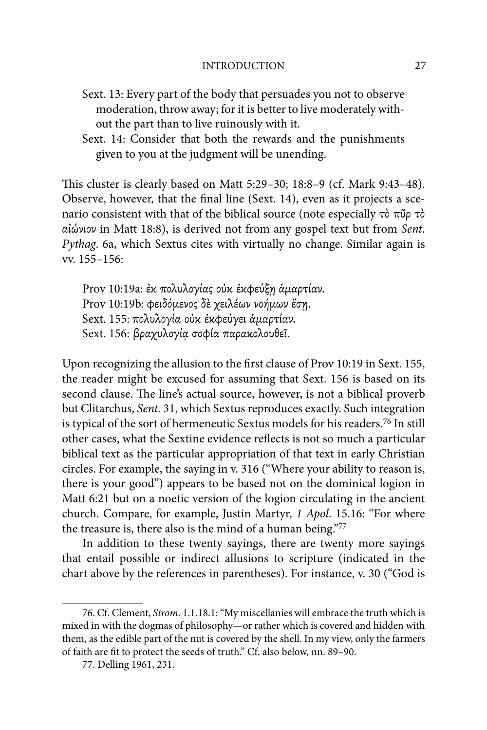- Sext. 13: Every part of the body that persuades you not to observe moderation, throw away; for it is better to live moderately without the part than to live ruinously with it.
- Sext. 14: Consider that both the rewards and the punishments given to you at the judgment will be unending.

This cluster is clearly based on Matt 5:29-30; 18:8-9 (cf. Mark 9:43-48). Observe, however, that the final line (Sext. 14), even as it projects a scenario consistent with that of the biblical source (note especially  $\tau\delta \pi\tilde{\nu}\rho \tau\delta$ αἰώνιον in Matt 18:8), is derived not from any gospel text but from Sent. Pythag. 6a, which Sextus cites with virtually no change. Similar again is vv. 155–156:

Prov 10:19a: έκ πολυλογίας ούκ έκφεύξη άμαρτίαν. Prov 10:19b: φειδόμενος δε χειλέων νοήμων έση. Sext. 155: πολυλογία ούκ έκφεύγει άμαρτίαν. Sext. 156: βραχυλογία σοφία παρακολουθεϊ.

Upon recognizing the allusion to the first clause of Prov 10:19 in Sext. 155, the reader might be excused for assuming that Sext. 156 is based on its second clause. The line's actual source, however, is not a biblical proverb but Clitarchus, Sent. 31, which Sextus reproduces exactly. Such integration is typical of the sort of hermeneutic Sextus models for his readers.76 In still other cases, what the Sextine evidence reflects is not so much a particular biblical text as the particular appropriation of that text in early Christian circles. For example, the saying in v. 316 ("Where your ability to reason is, there is your good") appears to be based not on the dominical logion in Matt 6:21 but on a noetic version of the logion circulating in the ancient church. Compare, for example, Justin Martyr, 1 Apol. 15.16: "For where the treasure is, there also is the mind of a human being."77

In addition to these twenty sayings, there are twenty more sayings that entail possible or indirect allusions to scripture (indicated in the chart above by the references in parentheses). For instance, v. 30 ("God is

<sup>76.</sup> Cf. Clement, Strom. 1.1.18.1: "My miscellanies will embrace the truth which is mixed in with the dogmas of philosophy—or rather which is covered and hidden with them, as the edible part of the nut is covered by the shell. In my view, only the farmers of faith are fit to protect the seeds of truth." Cf. also below, nn. 89-90.

<sup>77.</sup> Delling 1961, 231.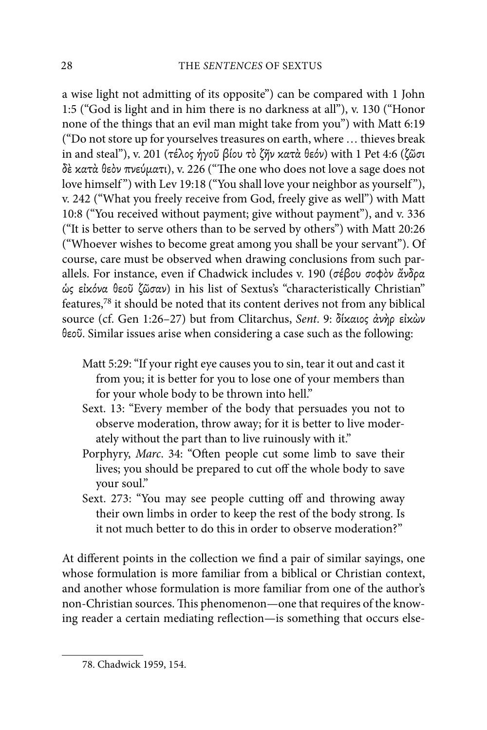a wise light not admitting of its opposite") can be compared with 1 John 1:5 ("God is light and in him there is no darkness at all"), v. 130 ("Honor none of the things that an evil man might take from you") with Matt 6:19 ("Do not store up for yourselves treasures on earth, where … thieves break in and steal"), v. 201 (τέλος ήγοῦ βίου τὸ ζῆν κατὰ θεόν) with 1 Pet 4:6 (ζῶσι  $\delta$ έ κατά θεὸν πνεύματι), v. 226 ("The one who does not love a sage does not love himself") with Lev 19:18 ("You shall love your neighbor as yourself"), v. 242 ("What you freely receive from God, freely give as well") with Matt 10:8 ("You received without payment; give without payment"), and v. 336 ("It is better to serve others than to be served by others") with Matt 20:26 ("Whoever wishes to become great among you shall be your servant"). Of course, care must be observed when drawing conclusions from such parallels. For instance, even if Chadwick includes v. 190 (σέβου σοφὸν ἄνδρα ώς είκόνα θεοῦ ζῶσαν) in his list of Sextus's "characteristically Christian" features,78 it should be noted that its content derives not from any biblical source (cf. Gen 1:26-27) but from Clitarchus, Sent. 9: δίκαιος άνὴρ εἰκὼν θεοῦ. Similar issues arise when considering a case such as the following:

- Matt 5:29: "If your right eye causes you to sin, tear it out and cast it from you; it is better for you to lose one of your members than for your whole body to be thrown into hell."
- Sext. 13: "Every member of the body that persuades you not to observe moderation, throw away; for it is better to live moderately without the part than to live ruinously with it."
- Porphyry, Marc. 34: "Often people cut some limb to save their lives; you should be prepared to cut off the whole body to save your soul."
- Sext. 273: "You may see people cutting off and throwing away their own limbs in order to keep the rest of the body strong. Is it not much better to do this in order to observe moderation?"

At different points in the collection we find a pair of similar sayings, one whose formulation is more familiar from a biblical or Christian context, and another whose formulation is more familiar from one of the author's non-Christian sources. This phenomenon—one that requires of the knowing reader a certain mediating reflection—is something that occurs else-

<sup>78.</sup> Chadwick 1959, 154.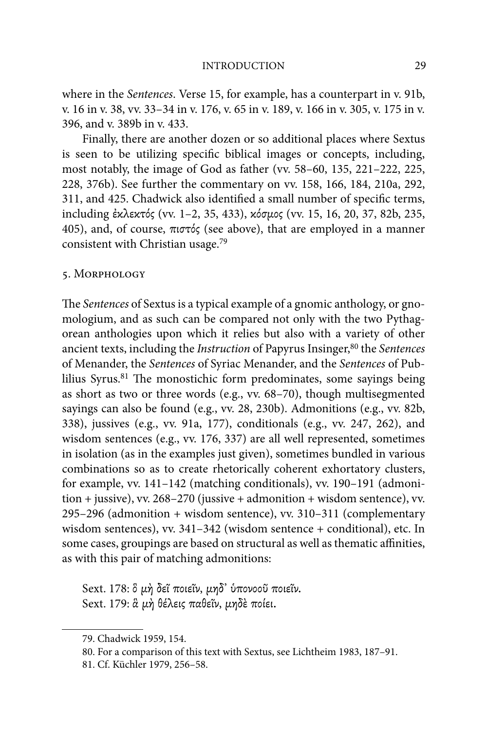where in the Sentences. Verse 15, for example, has a counterpart in v. 91b, v. 16 in v. 38, vv. 33–34 in v. 176, v. 65 in v. 189, v. 166 in v. 305, v. 175 in v. 396, and v. 389b in v. 433.

Finally, there are another dozen or so additional places where Sextus is seen to be utilizing specific biblical images or concepts, including, most notably, the image of God as father (vv. 58–60, 135, 221–222, 225, 228, 376b). See further the commentary on vv. 158, 166, 184, 210a, 292, 311, and 425. Chadwick also identified a small number of specific terms, including έκλεκτός (vv. 1–2, 35, 433), κόσμος (vv. 15, 16, 20, 37, 82b, 235, 405), and, of course, πιστός (see above), that are employed in a manner consistent with Christian usage.79

#### 5. Morphology

The Sentences of Sextus is a typical example of a gnomic anthology, or gnomologium, and as such can be compared not only with the two Pythagorean anthologies upon which it relies but also with a variety of other ancient texts, including the *Instruction* of Papyrus Insinger,<sup>80</sup> the *Sentences* of Menander, the Sentences of Syriac Menander, and the Sentences of Publilius Syrus.<sup>81</sup> The monostichic form predominates, some sayings being as short as two or three words (e.g., vv. 68–70), though multisegmented sayings can also be found (e.g., vv. 28, 230b). Admonitions (e.g., vv. 82b, 338), jussives (e.g., vv. 91a, 177), conditionals (e.g., vv. 247, 262), and wisdom sentences (e.g., vv. 176, 337) are all well represented, sometimes in isolation (as in the examples just given), sometimes bundled in various combinations so as to create rhetorically coherent exhortatory clusters, for example, vv. 141–142 (matching conditionals), vv. 190–191 (admonition + jussive), vv. 268–270 (jussive + admonition + wisdom sentence), vv. 295–296 (admonition + wisdom sentence), vv. 310–311 (complementary wisdom sentences), vv. 341–342 (wisdom sentence + conditional), etc. In some cases, groupings are based on structural as well as thematic affinities, as with this pair of matching admonitions:

Sext. 178: δ μή δεῖ ποιεῖν, μηδ' υπονοοῦ ποιεῖν. Sext. 179: ἃ μή θέλεις παθεΐν, μηδε ποίει.

<sup>79.</sup> Chadwick 1959, 154.

<sup>80.</sup> For a comparison of this text with Sextus, see Lichtheim 1983, 187–91.

<sup>81.</sup> Cf. Küchler 1979, 256–58.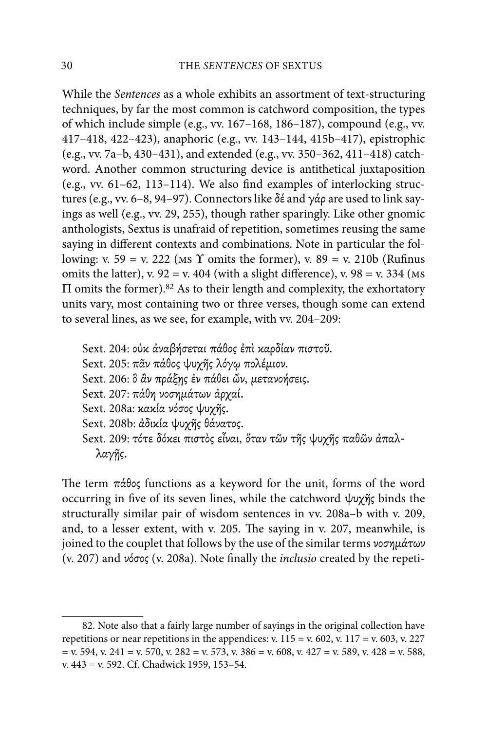While the Sentences as a whole exhibits an assortment of text-structuring techniques, by far the most common is catchword composition, the types of which include simple (e.g., vv. 167–168, 186–187), compound (e.g., vv. 417–418, 422–423), anaphoric (e.g., vv. 143–144, 415b–417), epistrophic (e.g., vv. 7a–b, 430–431), and extended (e.g., vv. 350–362, 411–418) catchword. Another common structuring device is antithetical juxtaposition (e.g., vv.  $61-62$ ,  $113-114$ ). We also find examples of interlocking structures (e.g., vv. 6–8, 94–97). Connectors like  $\delta \xi$  and  $\gamma \dot{\alpha} \rho$  are used to link sayings as well (e.g., vv. 29, 255), though rather sparingly. Like other gnomic anthologists, Sextus is unafraid of repetition, sometimes reusing the same saying in different contexts and combinations. Note in particular the following: v. 59 = v. 222 (Ms  $\Upsilon$  omits the former), v. 89 = v. 210b (Rufinus omits the latter), v.  $92 = v. 404$  (with a slight difference), v.  $98 = v. 334$  (Ms)  $\Pi$  omits the former).<sup>82</sup> As to their length and complexity, the exhortatory units vary, most containing two or three verses, though some can extend to several lines, as we see, for example, with vv. 204–209:

Sext. 204: ούκ άναβήσεται πάθος έπι καρδίαν πιστοῦ. Sext. 205: πᾶν πάθος ψυχῆς λόγω πολέμιον. Sext. 206: δ ἂν πράξης έν πάθει ὤν, μετανοήσεις. Sext. 207: πάθη νοσημάτων άρχαί. Sext. 208a: κακία νόσος ψυχῆς. Sext. 208b: ἀδικία ψυχῆς θάνατος. Sext. 209: τότε δόκει πιστός εἶναι, ὅταν τῶν τῆς ψυχῆς παθῶν ἀπαλλαγῆς.

The term  $\pi \dot{\alpha} \theta$ os functions as a keyword for the unit, forms of the word occurring in five of its seven lines, while the catchword  $\psi \chi \gamma \zeta$  binds the structurally similar pair of wisdom sentences in vv. 208a–b with v. 209, and, to a lesser extent, with v. 205. The saying in v. 207, meanwhile, is joined to the couplet that follows by the use of the similar terms  $\nu$ oo $\nu$  $\mu$ άτων (v. 207) and νόσος (v. 208a). Note finally the *inclusio* created by the repeti-

<sup>82.</sup> Note also that a fairly large number of sayings in the original collection have repetitions or near repetitions in the appendices: v.  $115 = v. 602$ , v.  $117 = v. 603$ , v. 227  $=$  v. 594, v. 241 = v. 570, v. 282 = v. 573, v. 386 = v. 608, v. 427 = v. 589, v. 428 = v. 588, v. 443 = v. 592. Cf. Chadwick 1959, 153–54.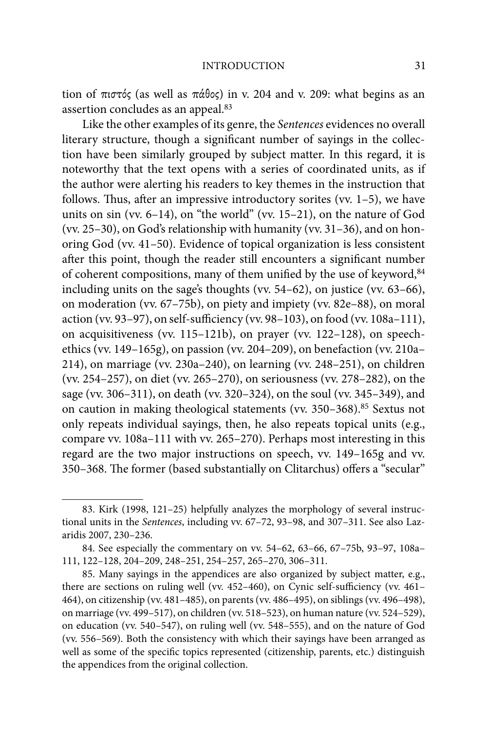tion of  $\pi i \sigma \tau \phi \zeta$  (as well as  $\pi \dot{\alpha} \theta \circ \zeta$ ) in v. 204 and v. 209: what begins as an assertion concludes as an appeal.83

Like the other examples of its genre, the Sentences evidences no overall literary structure, though a significant number of sayings in the collection have been similarly grouped by subject matter. In this regard, it is noteworthy that the text opens with a series of coordinated units, as if the author were alerting his readers to key themes in the instruction that follows. Thus, after an impressive introductory sorites (vv.  $1-5$ ), we have units on sin (vv. 6–14), on "the world" (vv. 15–21), on the nature of God (vv. 25–30), on God's relationship with humanity (vv. 31–36), and on honoring God (vv. 41–50). Evidence of topical organization is less consistent after this point, though the reader still encounters a significant number of coherent compositions, many of them unified by the use of keyword, $84$ including units on the sage's thoughts (vv. 54–62), on justice (vv. 63–66), on moderation (vv. 67–75b), on piety and impiety (vv. 82e–88), on moral action (vv. 93-97), on self-sufficiency (vv. 98-103), on food (vv. 108a-111), on acquisitiveness (vv. 115–121b), on prayer (vv. 122–128), on speechethics (vv. 149–165g), on passion (vv. 204–209), on benefaction (vv. 210a– 214), on marriage (vv. 230a–240), on learning (vv. 248–251), on children (vv. 254–257), on diet (vv. 265–270), on seriousness (vv. 278–282), on the sage (vv. 306–311), on death (vv. 320–324), on the soul (vv. 345–349), and on caution in making theological statements (vv. 350-368).<sup>85</sup> Sextus not only repeats individual sayings, then, he also repeats topical units (e.g., compare vv. 108a–111 with vv. 265–270). Perhaps most interesting in this regard are the two major instructions on speech, vv. 149–165g and vv. 350–368. The former (based substantially on Clitarchus) offers a "secular"

<sup>83.</sup> Kirk (1998, 121–25) helpfully analyzes the morphology of several instructional units in the Sentences, including vv. 67–72, 93–98, and 307–311. See also Lazaridis 2007, 230–236.

<sup>84.</sup> See especially the commentary on vv. 54–62, 63–66, 67–75b, 93–97, 108a– 111, 122–128, 204–209, 248–251, 254–257, 265–270, 306–311.

<sup>85.</sup> Many sayings in the appendices are also organized by subject matter, e.g., there are sections on ruling well (vv. 452-460), on Cynic self-sufficiency (vv. 461-464), on citizenship (vv. 481–485), on parents (vv. 486–495), on siblings (vv. 496–498), on marriage (vv. 499–517), on children (vv. 518–523), on human nature (vv. 524–529), on education (vv. 540–547), on ruling well (vv. 548–555), and on the nature of God (vv. 556–569). Both the consistency with which their sayings have been arranged as well as some of the specific topics represented (citizenship, parents, etc.) distinguish the appendices from the original collection.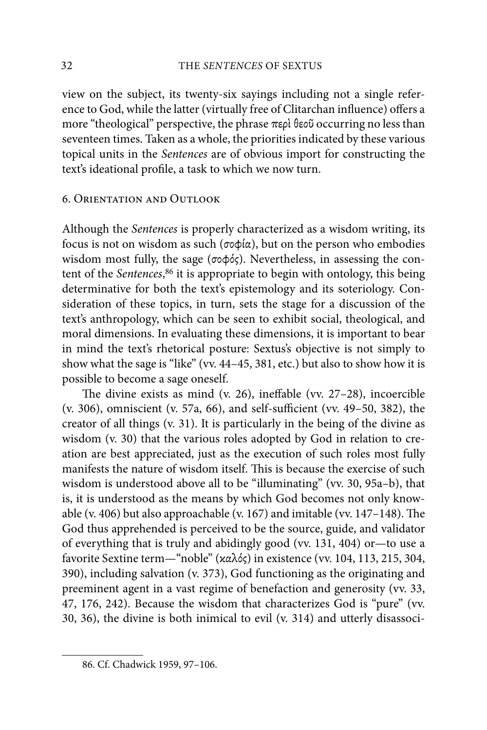view on the subject, its twenty-six sayings including not a single reference to God, while the latter (virtually free of Clitarchan influence) offers a more "theological" perspective, the phrase  $\pi$ ερὶ θεοῦ occurring no less than seventeen times. Taken as a whole, the priorities indicated by these various topical units in the Sentences are of obvious import for constructing the text's ideational profile, a task to which we now turn.

#### 6. Orientation and Outlook

Although the Sentences is properly characterized as a wisdom writing, its focus is not on wisdom as such ( $\sigma \circ \phi(\alpha)$ , but on the person who embodies wisdom most fully, the sage ( $\sigma \phi \phi \zeta$ ). Nevertheless, in assessing the content of the Sentences,<sup>86</sup> it is appropriate to begin with ontology, this being determinative for both the text's epistemology and its soteriology. Consideration of these topics, in turn, sets the stage for a discussion of the text's anthropology, which can be seen to exhibit social, theological, and moral dimensions. In evaluating these dimensions, it is important to bear in mind the text's rhetorical posture: Sextus's objective is not simply to show what the sage is "like" (vv. 44–45, 381, etc.) but also to show how it is possible to become a sage oneself.

The divine exists as mind (v. 26), ineffable (vv.  $27-28$ ), incoercible (v. 306), omniscient (v. 57a, 66), and self-sufficient (vv. 49–50, 382), the creator of all things (v. 31). It is particularly in the being of the divine as wisdom (v. 30) that the various roles adopted by God in relation to creation are best appreciated, just as the execution of such roles most fully manifests the nature of wisdom itself. This is because the exercise of such wisdom is understood above all to be "illuminating" (vv. 30, 95a–b), that is, it is understood as the means by which God becomes not only knowable (v. 406) but also approachable (v. 167) and imitable (vv. 147–148). The God thus apprehended is perceived to be the source, guide, and validator of everything that is truly and abidingly good (vv. 131, 404) or—to use a favorite Sextine term—"noble" ( $x\alpha\lambda\dot{\alpha}$ ) in existence (vv. 104, 113, 215, 304, 390), including salvation (v. 373), God functioning as the originating and preeminent agent in a vast regime of benefaction and generosity (vv. 33, 47, 176, 242). Because the wisdom that characterizes God is "pure" (vv. 30, 36), the divine is both inimical to evil (v. 314) and utterly disassoci-

<sup>86.</sup> Cf. Chadwick 1959, 97–106.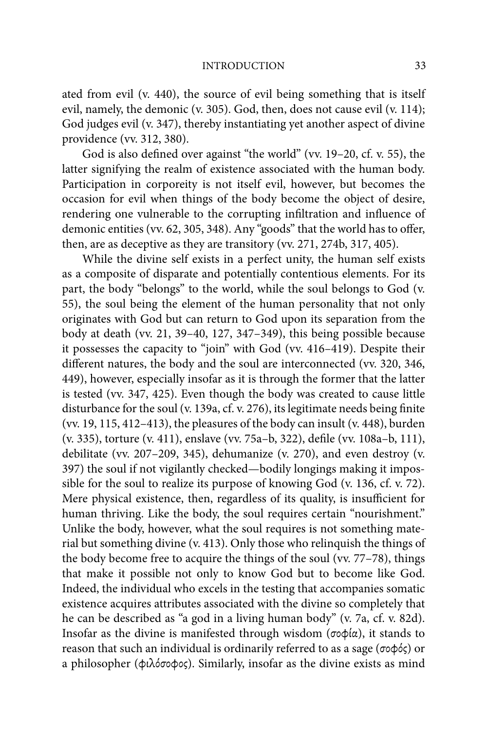ated from evil (v. 440), the source of evil being something that is itself evil, namely, the demonic (v. 305). God, then, does not cause evil (v. 114); God judges evil (v. 347), thereby instantiating yet another aspect of divine providence (vv. 312, 380).

God is also defined over against "the world" (vv. 19-20, cf. v. 55), the latter signifying the realm of existence associated with the human body. Participation in corporeity is not itself evil, however, but becomes the occasion for evil when things of the body become the object of desire, rendering one vulnerable to the corrupting infiltration and influence of demonic entities (vv. 62, 305, 348). Any "goods" that the world has to offer, then, are as deceptive as they are transitory (vv. 271, 274b, 317, 405).

While the divine self exists in a perfect unity, the human self exists as a composite of disparate and potentially contentious elements. For its part, the body "belongs" to the world, while the soul belongs to God (v. 55), the soul being the element of the human personality that not only originates with God but can return to God upon its separation from the body at death (vv. 21, 39–40, 127, 347–349), this being possible because it possesses the capacity to "join" with God (vv. 416–419). Despite their different natures, the body and the soul are interconnected (vv. 320, 346, 449), however, especially insofar as it is through the former that the latter is tested (vv. 347, 425). Even though the body was created to cause little disturbance for the soul (v. 139a, cf. v. 276), its legitimate needs being finite (vv. 19, 115, 412–413), the pleasures of the body can insult (v. 448), burden (v. 335), torture (v. 411), enslave (vv. 75a–b, 322), defile (vv. 108a–b, 111), debilitate (vv. 207–209, 345), dehumanize (v. 270), and even destroy (v. 397) the soul if not vigilantly checked—bodily longings making it impossible for the soul to realize its purpose of knowing God (v. 136, cf. v. 72). Mere physical existence, then, regardless of its quality, is insufficient for human thriving. Like the body, the soul requires certain "nourishment." Unlike the body, however, what the soul requires is not something material but something divine (v. 413). Only those who relinquish the things of the body become free to acquire the things of the soul (vv. 77–78), things that make it possible not only to know God but to become like God. Indeed, the individual who excels in the testing that accompanies somatic existence acquires attributes associated with the divine so completely that he can be described as "a god in a living human body" (v. 7a, cf. v. 82d). Insofar as the divine is manifested through wisdom ( $\sigma \phi \phi \alpha$ ), it stands to reason that such an individual is ordinarily referred to as a sage ( $\sigma$  $\phi$  $\phi$ s) or a philosopher ( $\phi$ ιλόσο $\phi$ ος). Similarly, insofar as the divine exists as mind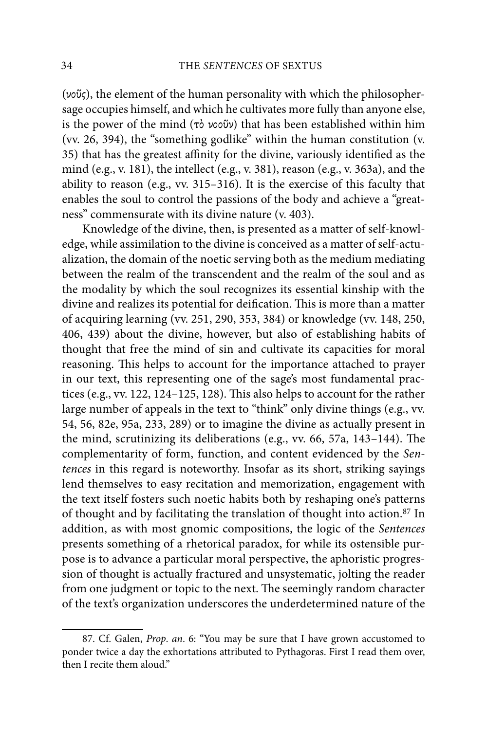( $\nu\tilde{o}$ ), the element of the human personality with which the philosophersage occupies himself, and which he cultivates more fully than anyone else, is the power of the mind ( $\tau$ ò  $\nu$ oovi $\nu$ ) that has been established within him (vv. 26, 394), the "something godlike" within the human constitution (v. 35) that has the greatest affinity for the divine, variously identified as the mind (e.g., v. 181), the intellect (e.g., v. 381), reason (e.g., v. 363a), and the ability to reason (e.g., vv. 315–316). It is the exercise of this faculty that enables the soul to control the passions of the body and achieve a "greatness" commensurate with its divine nature (v. 403).

Knowledge of the divine, then, is presented as a matter of self-knowledge, while assimilation to the divine is conceived as a matter of self-actualization, the domain of the noetic serving both as the medium mediating between the realm of the transcendent and the realm of the soul and as the modality by which the soul recognizes its essential kinship with the divine and realizes its potential for deification. This is more than a matter of acquiring learning (vv. 251, 290, 353, 384) or knowledge (vv. 148, 250, 406, 439) about the divine, however, but also of establishing habits of thought that free the mind of sin and cultivate its capacities for moral reasoning. This helps to account for the importance attached to prayer in our text, this representing one of the sage's most fundamental practices (e.g., vv. 122, 124-125, 128). This also helps to account for the rather large number of appeals in the text to "think" only divine things (e.g., vv. 54, 56, 82e, 95a, 233, 289) or to imagine the divine as actually present in the mind, scrutinizing its deliberations (e.g., vv. 66, 57a, 143-144). The complementarity of form, function, and content evidenced by the Sentences in this regard is noteworthy. Insofar as its short, striking sayings lend themselves to easy recitation and memorization, engagement with the text itself fosters such noetic habits both by reshaping one's patterns of thought and by facilitating the translation of thought into action.87 In addition, as with most gnomic compositions, the logic of the Sentences presents something of a rhetorical paradox, for while its ostensible purpose is to advance a particular moral perspective, the aphoristic progression of thought is actually fractured and unsystematic, jolting the reader from one judgment or topic to the next. The seemingly random character of the text's organization underscores the underdetermined nature of the

<sup>87.</sup> Cf. Galen, Prop. an. 6: "You may be sure that I have grown accustomed to ponder twice a day the exhortations attributed to Pythagoras. First I read them over, then I recite them aloud."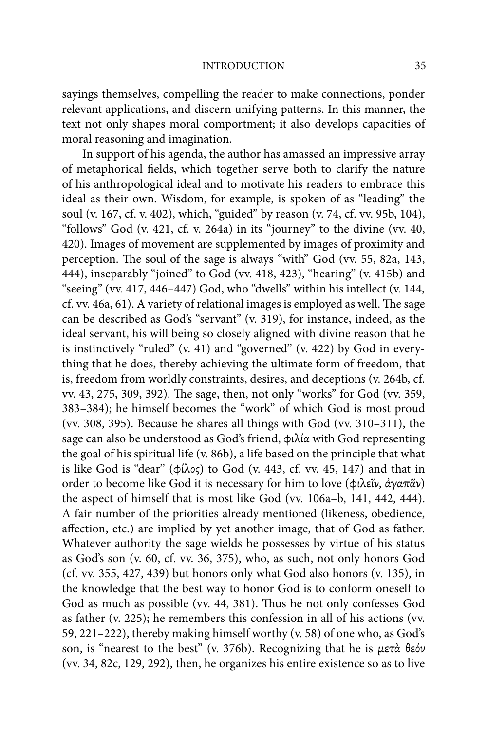sayings themselves, compelling the reader to make connections, ponder relevant applications, and discern unifying patterns. In this manner, the text not only shapes moral comportment; it also develops capacities of moral reasoning and imagination.

In support of his agenda, the author has amassed an impressive array of metaphorical fields, which together serve both to clarify the nature of his anthropological ideal and to motivate his readers to embrace this ideal as their own. Wisdom, for example, is spoken of as "leading" the soul (v. 167, cf. v. 402), which, "guided" by reason (v. 74, cf. vv. 95b, 104), "follows" God (v. 421, cf. v. 264a) in its "journey" to the divine (vv. 40, 420). Images of movement are supplemented by images of proximity and perception. The soul of the sage is always "with" God (vv. 55, 82a, 143, 444), inseparably "joined" to God (vv. 418, 423), "hearing" (v. 415b) and "seeing" (vv. 417, 446–447) God, who "dwells" within his intellect (v. 144,  $cf.$  vv. 46a, 61). A variety of relational images is employed as well. The sage can be described as God's "servant" (v. 319), for instance, indeed, as the ideal servant, his will being so closely aligned with divine reason that he is instinctively "ruled" (v. 41) and "governed" (v. 422) by God in everything that he does, thereby achieving the ultimate form of freedom, that is, freedom from worldly constraints, desires, and deceptions (v. 264b, cf. vv. 43, 275, 309, 392). The sage, then, not only "works" for God (vv. 359, 383–384); he himself becomes the "work" of which God is most proud (vv. 308, 395). Because he shares all things with God (vv. 310–311), the sage can also be understood as God's friend, φιλία with God representing the goal of his spiritual life (v. 86b), a life based on the principle that what is like God is "dear" ( $\phi$ ίλος) to God (v. 443, cf. vv. 45, 147) and that in order to become like God it is necessary for him to love (φιλεῖν, ἀγαπᾶν) the aspect of himself that is most like God (vv. 106a–b, 141, 442, 444). A fair number of the priorities already mentioned (likeness, obedience, affection, etc.) are implied by yet another image, that of God as father. Whatever authority the sage wields he possesses by virtue of his status as God's son (v. 60, cf. vv. 36, 375), who, as such, not only honors God (cf. vv. 355, 427, 439) but honors only what God also honors (v. 135), in the knowledge that the best way to honor God is to conform oneself to God as much as possible (vv. 44, 381). Thus he not only confesses God as father (v. 225); he remembers this confession in all of his actions (vv. 59, 221–222), thereby making himself worthy (v. 58) of one who, as God's son, is "nearest to the best" (v. 376b). Recognizing that he is  $\mu$ ετά θεόν (vv. 34, 82c, 129, 292), then, he organizes his entire existence so as to live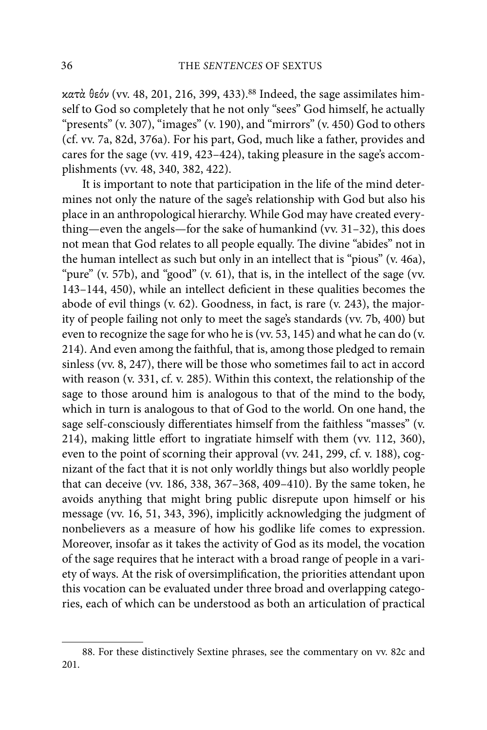$x$ ατά θεόν (vv. 48, 201, 216, 399, 433).<sup>88</sup> Indeed, the sage assimilates himself to God so completely that he not only "sees" God himself, he actually "presents" (v. 307), "images" (v. 190), and "mirrors" (v. 450) God to others (cf. vv. 7a, 82d, 376a). For his part, God, much like a father, provides and cares for the sage (vv. 419, 423–424), taking pleasure in the sage's accomplishments (vv. 48, 340, 382, 422).

It is important to note that participation in the life of the mind determines not only the nature of the sage's relationship with God but also his place in an anthropological hierarchy. While God may have created everything—even the angels—for the sake of humankind (vv. 31–32), this does not mean that God relates to all people equally. The divine "abides" not in the human intellect as such but only in an intellect that is "pious" (v. 46a), "pure" (v. 57b), and "good" (v. 61), that is, in the intellect of the sage (vv. 143-144, 450), while an intellect deficient in these qualities becomes the abode of evil things (v. 62). Goodness, in fact, is rare (v. 243), the majority of people failing not only to meet the sage's standards (vv. 7b, 400) but even to recognize the sage for who he is (vv. 53, 145) and what he can do (v. 214). And even among the faithful, that is, among those pledged to remain sinless (vv. 8, 247), there will be those who sometimes fail to act in accord with reason (v. 331, cf. v. 285). Within this context, the relationship of the sage to those around him is analogous to that of the mind to the body, which in turn is analogous to that of God to the world. On one hand, the sage self-consciously differentiates himself from the faithless "masses" (v. 214), making little effort to ingratiate himself with them (vv.  $112$ ,  $360$ ), even to the point of scorning their approval (vv. 241, 299, cf. v. 188), cognizant of the fact that it is not only worldly things but also worldly people that can deceive (vv. 186, 338, 367–368, 409–410). By the same token, he avoids anything that might bring public disrepute upon himself or his message (vv. 16, 51, 343, 396), implicitly acknowledging the judgment of nonbelievers as a measure of how his godlike life comes to expression. Moreover, insofar as it takes the activity of God as its model, the vocation of the sage requires that he interact with a broad range of people in a variety of ways. At the risk of oversimplification, the priorities attendant upon this vocation can be evaluated under three broad and overlapping categories, each of which can be understood as both an articulation of practical

<sup>88.</sup> For these distinctively Sextine phrases, see the commentary on vv. 82c and 201.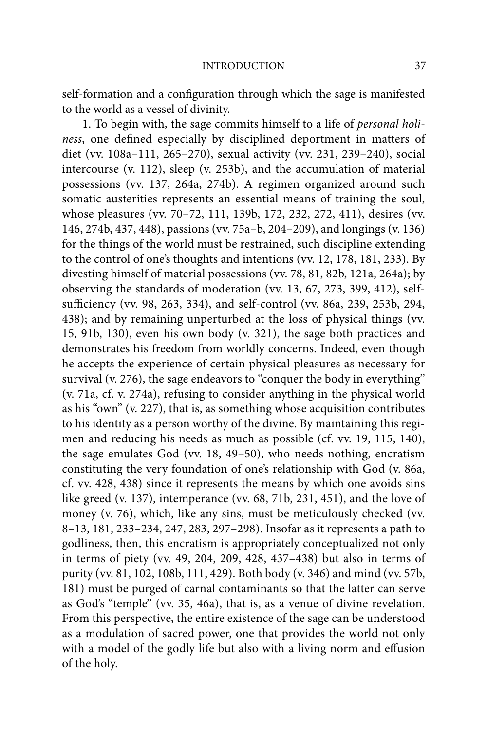self-formation and a configuration through which the sage is manifested to the world as a vessel of divinity.

1. To begin with, the sage commits himself to a life of personal holiness, one defined especially by disciplined deportment in matters of diet (vv. 108a–111, 265–270), sexual activity (vv. 231, 239–240), social intercourse (v. 112), sleep (v. 253b), and the accumulation of material possessions (vv. 137, 264a, 274b). A regimen organized around such somatic austerities represents an essential means of training the soul, whose pleasures (vv. 70–72, 111, 139b, 172, 232, 272, 411), desires (vv. 146, 274b, 437, 448), passions (vv. 75a–b, 204–209), and longings (v. 136) for the things of the world must be restrained, such discipline extending to the control of one's thoughts and intentions (vv. 12, 178, 181, 233). By divesting himself of material possessions (vv. 78, 81, 82b, 121a, 264a); by observing the standards of moderation (vv. 13, 67, 273, 399, 412), selfsufficiency (vv. 98, 263, 334), and self-control (vv. 86a, 239, 253b, 294, 438); and by remaining unperturbed at the loss of physical things (vv. 15, 91b, 130), even his own body (v. 321), the sage both practices and demonstrates his freedom from worldly concerns. Indeed, even though he accepts the experience of certain physical pleasures as necessary for survival (v. 276), the sage endeavors to "conquer the body in everything" (v. 71a, cf. v. 274a), refusing to consider anything in the physical world as his "own" (v. 227), that is, as something whose acquisition contributes to his identity as a person worthy of the divine. By maintaining this regimen and reducing his needs as much as possible (cf. vv. 19, 115, 140), the sage emulates God (vv. 18, 49–50), who needs nothing, encratism constituting the very foundation of one's relationship with God (v. 86a, cf. vv. 428, 438) since it represents the means by which one avoids sins like greed (v. 137), intemperance (vv. 68, 71b, 231, 451), and the love of money (v. 76), which, like any sins, must be meticulously checked (vv. 8–13, 181, 233–234, 247, 283, 297–298). Insofar as it represents a path to godliness, then, this encratism is appropriately conceptualized not only in terms of piety (vv. 49, 204, 209, 428, 437–438) but also in terms of purity (vv. 81, 102, 108b, 111, 429). Both body (v. 346) and mind (vv. 57b, 181) must be purged of carnal contaminants so that the latter can serve as God's "temple" (vv. 35, 46a), that is, as a venue of divine revelation. From this perspective, the entire existence of the sage can be understood as a modulation of sacred power, one that provides the world not only with a model of the godly life but also with a living norm and effusion of the holy.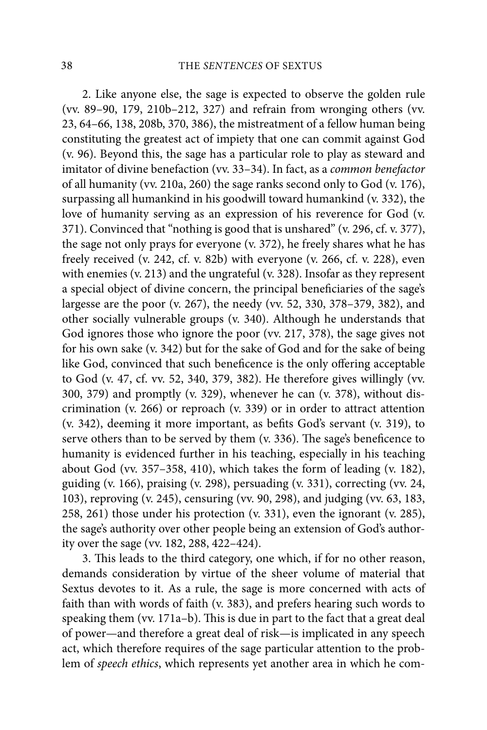2. Like anyone else, the sage is expected to observe the golden rule (vv. 89–90, 179, 210b–212, 327) and refrain from wronging others (vv. 23, 64–66, 138, 208b, 370, 386), the mistreatment of a fellow human being constituting the greatest act of impiety that one can commit against God (v. 96). Beyond this, the sage has a particular role to play as steward and imitator of divine benefaction (vv. 33–34). In fact, as a common benefactor of all humanity (vv. 210a, 260) the sage ranks second only to God (v. 176), surpassing all humankind in his goodwill toward humankind (v. 332), the love of humanity serving as an expression of his reverence for God (v. 371). Convinced that "nothing is good that is unshared" (v. 296, cf. v. 377), the sage not only prays for everyone (v. 372), he freely shares what he has freely received (v. 242, cf. v. 82b) with everyone (v. 266, cf. v. 228), even with enemies (v. 213) and the ungrateful (v. 328). Insofar as they represent a special object of divine concern, the principal beneficiaries of the sage's largesse are the poor (v. 267), the needy (vv. 52, 330, 378–379, 382), and other socially vulnerable groups (v. 340). Although he understands that God ignores those who ignore the poor (vv. 217, 378), the sage gives not for his own sake (v. 342) but for the sake of God and for the sake of being like God, convinced that such beneficence is the only offering acceptable to God (v. 47, cf. vv. 52, 340, 379, 382). He therefore gives willingly (vv. 300, 379) and promptly (v. 329), whenever he can (v. 378), without discrimination (v. 266) or reproach (v. 339) or in order to attract attention (v. 342), deeming it more important, as befits God's servant (v. 319), to serve others than to be served by them (v. 336). The sage's beneficence to humanity is evidenced further in his teaching, especially in his teaching about God (vv. 357–358, 410), which takes the form of leading (v. 182), guiding (v. 166), praising (v. 298), persuading (v. 331), correcting (vv. 24, 103), reproving (v. 245), censuring (vv. 90, 298), and judging (vv. 63, 183, 258, 261) those under his protection (v. 331), even the ignorant (v. 285), the sage's authority over other people being an extension of God's authority over the sage (vv. 182, 288, 422–424).

3. This leads to the third category, one which, if for no other reason, demands consideration by virtue of the sheer volume of material that Sextus devotes to it. As a rule, the sage is more concerned with acts of faith than with words of faith (v. 383), and prefers hearing such words to speaking them (vv.  $171a-b$ ). This is due in part to the fact that a great deal of power—and therefore a great deal of risk—is implicated in any speech act, which therefore requires of the sage particular attention to the problem of speech ethics, which represents yet another area in which he com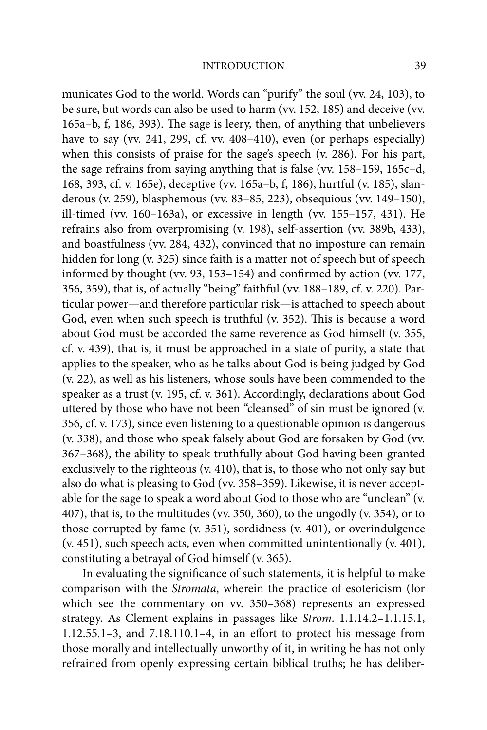municates God to the world. Words can "purify" the soul (vv. 24, 103), to be sure, but words can also be used to harm (vv. 152, 185) and deceive (vv. 165a–b, f, 186, 393). The sage is leery, then, of anything that unbelievers have to say (vv. 241, 299, cf. vv. 408–410), even (or perhaps especially) when this consists of praise for the sage's speech (v. 286). For his part, the sage refrains from saying anything that is false (vv. 158–159, 165c–d, 168, 393, cf. v. 165e), deceptive (vv. 165a–b, f, 186), hurtful (v. 185), slanderous (v. 259), blasphemous (vv. 83–85, 223), obsequious (vv. 149–150), ill-timed (vv. 160–163a), or excessive in length (vv. 155–157, 431). He refrains also from overpromising (v. 198), self-assertion (vv. 389b, 433), and boastfulness (vv. 284, 432), convinced that no imposture can remain hidden for long (v. 325) since faith is a matter not of speech but of speech informed by thought (vv. 93, 153–154) and confirmed by action (vv. 177, 356, 359), that is, of actually "being" faithful (vv. 188–189, cf. v. 220). Particular power—and therefore particular risk—is attached to speech about God, even when such speech is truthful (v. 352). This is because a word about God must be accorded the same reverence as God himself (v. 355, cf. v. 439), that is, it must be approached in a state of purity, a state that applies to the speaker, who as he talks about God is being judged by God (v. 22), as well as his listeners, whose souls have been commended to the speaker as a trust (v. 195, cf. v. 361). Accordingly, declarations about God uttered by those who have not been "cleansed" of sin must be ignored (v. 356, cf. v. 173), since even listening to a questionable opinion is dangerous (v. 338), and those who speak falsely about God are forsaken by God (vv. 367–368), the ability to speak truthfully about God having been granted exclusively to the righteous (v. 410), that is, to those who not only say but also do what is pleasing to God (vv. 358–359). Likewise, it is never acceptable for the sage to speak a word about God to those who are "unclean" (v. 407), that is, to the multitudes (vv. 350, 360), to the ungodly (v. 354), or to those corrupted by fame (v. 351), sordidness (v. 401), or overindulgence (v. 451), such speech acts, even when committed unintentionally (v. 401), constituting a betrayal of God himself (v. 365).

In evaluating the significance of such statements, it is helpful to make comparison with the Stromata, wherein the practice of esotericism (for which see the commentary on vv. 350–368) represents an expressed strategy. As Clement explains in passages like Strom. 1.1.14.2–1.1.15.1,  $1.12.55.1-3$ , and  $7.18.110.1-4$ , in an effort to protect his message from those morally and intellectually unworthy of it, in writing he has not only refrained from openly expressing certain biblical truths; he has deliber